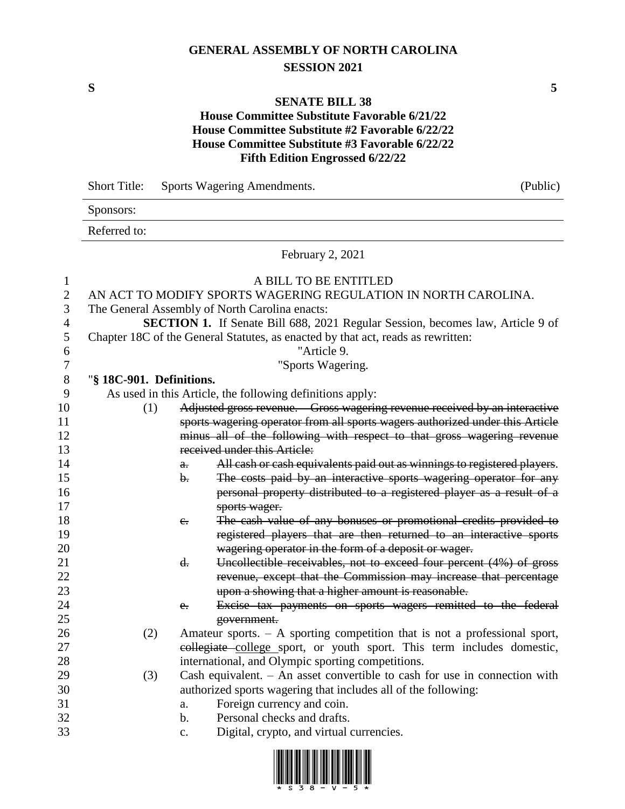# **GENERAL ASSEMBLY OF NORTH CAROLINA SESSION 2021**

### **SENATE BILL 38**

### **House Committee Substitute Favorable 6/21/22 House Committee Substitute #2 Favorable 6/22/22 House Committee Substitute #3 Favorable 6/22/22 Fifth Edition Engrossed 6/22/22**

|                                | <b>Short Title:</b>      |                | Sports Wagering Amendments.                                                             | (Public) |
|--------------------------------|--------------------------|----------------|-----------------------------------------------------------------------------------------|----------|
|                                | Sponsors:                |                |                                                                                         |          |
|                                | Referred to:             |                |                                                                                         |          |
|                                |                          |                | February 2, 2021                                                                        |          |
| $\mathbf{1}$<br>$\overline{2}$ |                          |                | A BILL TO BE ENTITLED<br>AN ACT TO MODIFY SPORTS WAGERING REGULATION IN NORTH CAROLINA. |          |
| 3                              |                          |                | The General Assembly of North Carolina enacts:                                          |          |
| $\overline{4}$                 |                          |                | SECTION 1. If Senate Bill 688, 2021 Regular Session, becomes law, Article 9 of          |          |
| 5                              |                          |                | Chapter 18C of the General Statutes, as enacted by that act, reads as rewritten:        |          |
| 6                              |                          |                | "Article 9.                                                                             |          |
| 7                              |                          |                | "Sports Wagering.                                                                       |          |
| $8\,$                          | "§ 18C-901. Definitions. |                |                                                                                         |          |
| 9                              |                          |                | As used in this Article, the following definitions apply:                               |          |
| 10                             | (1)                      |                | Adjusted gross revenue. Gross wagering revenue received by an interactive               |          |
| 11                             |                          |                | sports wagering operator from all sports wagers authorized under this Article           |          |
| 12                             |                          |                | minus all of the following with respect to that gross wagering revenue                  |          |
| 13                             |                          |                | received under this Article:                                                            |          |
| 14                             |                          | $\theta$ .     | All cash or cash equivalents paid out as winnings to registered players.                |          |
| 15                             |                          | b.             | The costs paid by an interactive sports wagering operator for any                       |          |
| 16                             |                          |                | personal property distributed to a registered player as a result of a                   |          |
| 17                             |                          |                | sports wager.                                                                           |          |
| 18                             |                          | $e_{i}$        | The cash value of any bonuses or promotional credits provided to                        |          |
| 19                             |                          |                | registered players that are then returned to an interactive sports                      |          |
| 20                             |                          |                | wagering operator in the form of a deposit or wager.                                    |          |
| 21                             |                          | d.             | Uncollectible receivables, not to exceed four percent (4%) of gross                     |          |
| 22                             |                          |                | revenue, except that the Commission may increase that percentage                        |          |
| 23                             |                          |                | upon a showing that a higher amount is reasonable.                                      |          |
| 24                             |                          | e.             | Excise tax payments on sports wagers remitted to the federal                            |          |
| 25                             |                          |                | government.                                                                             |          |
| 26                             | (2)                      |                | Amateur sports. $-$ A sporting competition that is not a professional sport,            |          |
| 27                             |                          |                | collegiate college sport, or youth sport. This term includes domestic,                  |          |
| 28                             |                          |                | international, and Olympic sporting competitions.                                       |          |
| 29                             | (3)                      |                | Cash equivalent. $-$ An asset convertible to cash for use in connection with            |          |
| 30                             |                          |                | authorized sports wagering that includes all of the following:                          |          |
| 31                             |                          | a.             | Foreign currency and coin.                                                              |          |
| 32                             |                          | b.             | Personal checks and drafts.                                                             |          |
| 33                             |                          | $\mathbf{c}$ . | Digital, crypto, and virtual currencies.                                                |          |

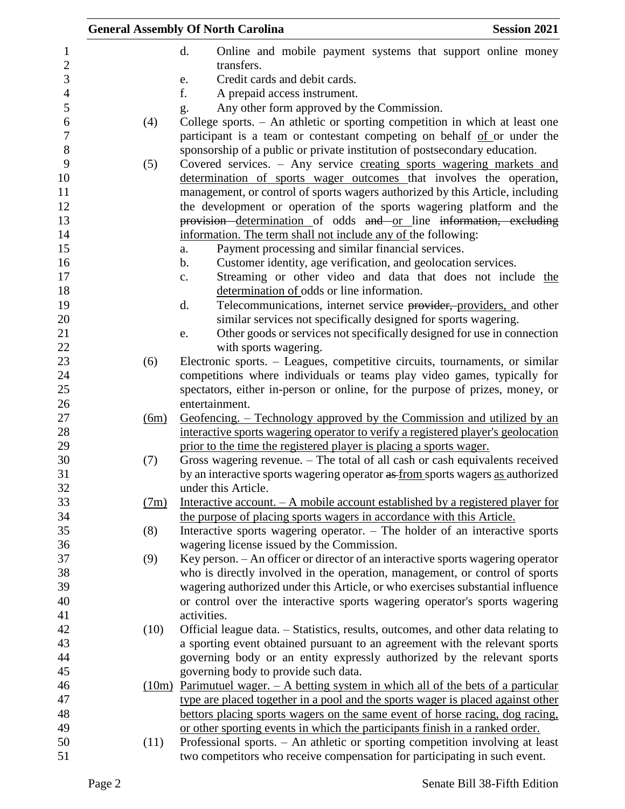|                     |      | <b>General Assembly Of North Carolina</b>                                                             | <b>Session 2021</b> |
|---------------------|------|-------------------------------------------------------------------------------------------------------|---------------------|
| 1<br>$\mathbf{2}$   |      | d.<br>Online and mobile payment systems that support online money<br>transfers.                       |                     |
| 3                   |      |                                                                                                       |                     |
|                     |      | Credit cards and debit cards.<br>e.<br>f.                                                             |                     |
| $\overline{4}$<br>5 |      | A prepaid access instrument.<br>Any other form approved by the Commission.                            |                     |
| 6                   | (4)  | g.<br>College sports. - An athletic or sporting competition in which at least one                     |                     |
| $\boldsymbol{7}$    |      | participant is a team or contestant competing on behalf of or under the                               |                     |
| $8\,$               |      | sponsorship of a public or private institution of postsecondary education.                            |                     |
| 9                   | (5)  | Covered services. - Any service creating sports wagering markets and                                  |                     |
| 10                  |      | determination of sports wager outcomes that involves the operation,                                   |                     |
| 11                  |      | management, or control of sports wagers authorized by this Article, including                         |                     |
| 12                  |      | the development or operation of the sports wagering platform and the                                  |                     |
| 13                  |      | provision determination of odds and or line information, excluding                                    |                     |
| 14                  |      | information. The term shall not include any of the following:                                         |                     |
| 15                  |      | Payment processing and similar financial services.<br>a.                                              |                     |
| 16                  |      | Customer identity, age verification, and geolocation services.<br>$\mathbf b$ .                       |                     |
| 17                  |      | Streaming or other video and data that does not include the<br>c.                                     |                     |
| 18                  |      | determination of odds or line information.                                                            |                     |
| 19                  |      | Telecommunications, internet service provider, providers, and other<br>d.                             |                     |
| 20                  |      | similar services not specifically designed for sports wagering.                                       |                     |
| 21                  |      | Other goods or services not specifically designed for use in connection<br>e.                         |                     |
| 22                  |      | with sports wagering.                                                                                 |                     |
| 23                  | (6)  | Electronic sports. – Leagues, competitive circuits, tournaments, or similar                           |                     |
| 24                  |      | competitions where individuals or teams play video games, typically for                               |                     |
| 25                  |      | spectators, either in-person or online, for the purpose of prizes, money, or                          |                     |
| 26                  |      | entertainment.                                                                                        |                     |
| 27                  | (6m) | Geofencing. – Technology approved by the Commission and utilized by an                                |                     |
| 28                  |      | interactive sports wagering operator to verify a registered player's geolocation                      |                     |
| 29                  |      | prior to the time the registered player is placing a sports wager.                                    |                     |
| 30<br>31            | (7)  | Gross wagering revenue. - The total of all cash or cash equivalents received                          |                     |
| 32                  |      | by an interactive sports wagering operator as from sports wagers as authorized<br>under this Article. |                     |
| 33                  | (7m) | Interactive account. $-A$ mobile account established by a registered player for                       |                     |
| 34                  |      | the purpose of placing sports wagers in accordance with this Article.                                 |                     |
| 35                  | (8)  | Interactive sports wagering operator. - The holder of an interactive sports                           |                     |
| 36                  |      | wagering license issued by the Commission.                                                            |                     |
| 37                  | (9)  | Key person. - An officer or director of an interactive sports wagering operator                       |                     |
| 38                  |      | who is directly involved in the operation, management, or control of sports                           |                     |
| 39                  |      | wagering authorized under this Article, or who exercises substantial influence                        |                     |
| 40                  |      | or control over the interactive sports wagering operator's sports wagering                            |                     |
| 41                  |      | activities.                                                                                           |                     |
| 42                  | (10) | Official league data. - Statistics, results, outcomes, and other data relating to                     |                     |
| 43                  |      | a sporting event obtained pursuant to an agreement with the relevant sports                           |                     |
| 44                  |      | governing body or an entity expressly authorized by the relevant sports                               |                     |
| 45                  |      | governing body to provide such data.                                                                  |                     |
| 46                  |      | $(10m)$ Parimutuel wager. $-$ A betting system in which all of the bets of a particular               |                     |
| 47                  |      | type are placed together in a pool and the sports wager is placed against other                       |                     |
| 48                  |      | bettors placing sports wagers on the same event of horse racing, dog racing,                          |                     |
| 49                  |      | or other sporting events in which the participants finish in a ranked order.                          |                     |
| 50                  | (11) | Professional sports. - An athletic or sporting competition involving at least                         |                     |
| 51                  |      | two competitors who receive compensation for participating in such event.                             |                     |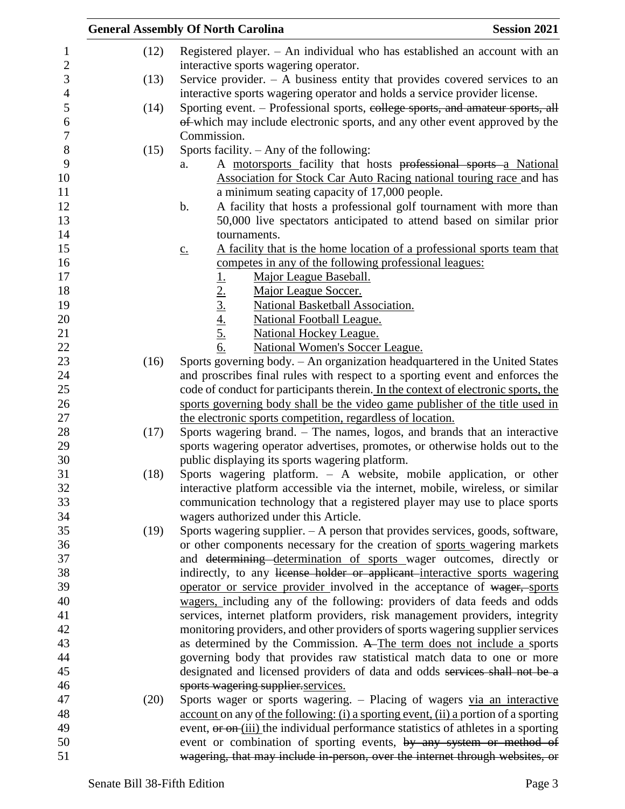|      | <b>General Assembly Of North Carolina</b><br><b>Session 2021</b>                                            |
|------|-------------------------------------------------------------------------------------------------------------|
| (12) | Registered player. - An individual who has established an account with an                                   |
|      | interactive sports wagering operator.                                                                       |
| (13) | Service provider. $-$ A business entity that provides covered services to an                                |
|      | interactive sports wagering operator and holds a service provider license.                                  |
| (14) | Sporting event. – Professional sports, eollege sports, and amateur sports, all                              |
|      | of which may include electronic sports, and any other event approved by the                                 |
|      | Commission.                                                                                                 |
| (15) | Sports facility. - Any of the following:                                                                    |
|      | A motorsports facility that hosts professional sports a National<br>a.                                      |
|      | Association for Stock Car Auto Racing national touring race and has                                         |
|      | a minimum seating capacity of 17,000 people.                                                                |
|      | A facility that hosts a professional golf tournament with more than<br>b.                                   |
|      | 50,000 live spectators anticipated to attend based on similar prior                                         |
|      | tournaments.                                                                                                |
|      | A facility that is the home location of a professional sports team that<br>$\underline{C}$ .                |
|      | competes in any of the following professional leagues:                                                      |
|      | Major League Baseball.                                                                                      |
|      | Major League Soccer.                                                                                        |
|      | National Basketball Association.                                                                            |
|      | <b>National Football League.</b>                                                                            |
|      | <b>National Hockey League.</b>                                                                              |
|      | $\frac{1}{2}$ .<br>$\frac{2}{3}$ .<br>$\frac{4}{4}$ .<br>$\frac{5}{6}$ .<br>National Women's Soccer League. |
| (16) | Sports governing body. - An organization headquartered in the United States                                 |
|      | and proscribes final rules with respect to a sporting event and enforces the                                |
|      | code of conduct for participants therein. In the context of electronic sports, the                          |
|      | sports governing body shall be the video game publisher of the title used in                                |
|      | the electronic sports competition, regardless of location.                                                  |
| (17) | Sports wagering brand. – The names, logos, and brands that an interactive                                   |
|      | sports wagering operator advertises, promotes, or otherwise holds out to the                                |
|      | public displaying its sports wagering platform.                                                             |
| (18) | Sports wagering platform. - A website, mobile application, or other                                         |
|      | interactive platform accessible via the internet, mobile, wireless, or similar                              |
|      | communication technology that a registered player may use to place sports                                   |
|      | wagers authorized under this Article.                                                                       |
| (19) | Sports wagering supplier. - A person that provides services, goods, software,                               |
|      | or other components necessary for the creation of sports wagering markets                                   |
|      | and determining determination of sports wager outcomes, directly or                                         |
|      | indirectly, to any license holder or applicant interactive sports wagering                                  |
|      | operator or service provider involved in the acceptance of wager, sports                                    |
|      | wagers, including any of the following: providers of data feeds and odds                                    |
|      | services, internet platform providers, risk management providers, integrity                                 |
|      | monitoring providers, and other providers of sports wagering supplier services                              |
|      | as determined by the Commission. A The term does not include a sports                                       |
|      | governing body that provides raw statistical match data to one or more                                      |
|      | designated and licensed providers of data and odds services shall not be a                                  |
|      | sports wagering supplier services.                                                                          |
| (20) | Sports wager or sports wagering. - Placing of wagers via an interactive                                     |
|      | account on any of the following: (i) a sporting event, (ii) a portion of a sporting                         |
|      | event, or on (iii) the individual performance statistics of athletes in a sporting                          |
|      | event or combination of sporting events, by any system or method of                                         |
|      | wagering, that may include in-person, over the internet through websites, or                                |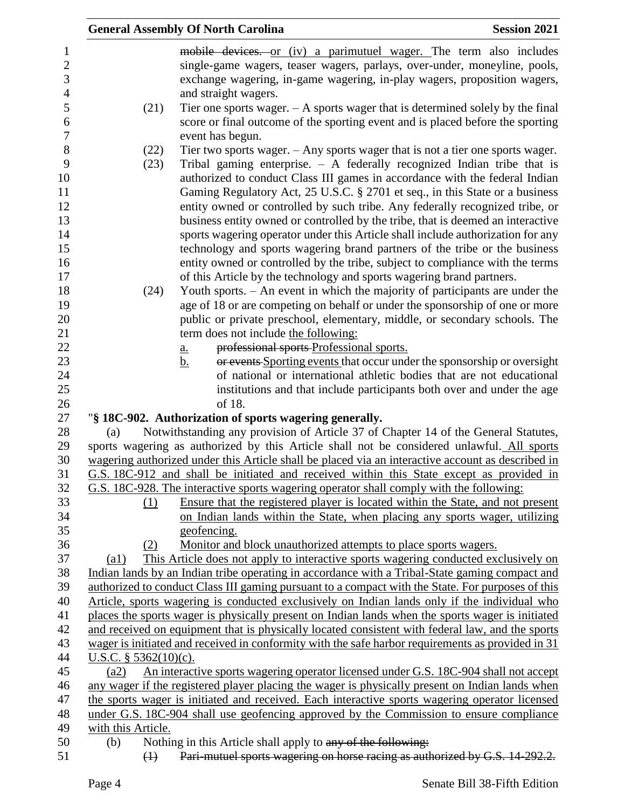|                       |                         | <b>General Assembly Of North Carolina</b>                                                                                                     | <b>Session 2021</b> |
|-----------------------|-------------------------|-----------------------------------------------------------------------------------------------------------------------------------------------|---------------------|
| 1                     |                         | mobile devices. or (iv) a parimutuel wager. The term also includes                                                                            |                     |
| $\mathbf{2}$          |                         | single-game wagers, teaser wagers, parlays, over-under, moneyline, pools,                                                                     |                     |
| 3<br>$\overline{4}$   |                         | exchange wagering, in-game wagering, in-play wagers, proposition wagers,<br>and straight wagers.                                              |                     |
| 5                     | (21)                    | Tier one sports wager. $- A$ sports wager that is determined solely by the final                                                              |                     |
| 6<br>$\boldsymbol{7}$ |                         | score or final outcome of the sporting event and is placed before the sporting<br>event has begun.                                            |                     |
| 8                     | (22)                    | Tier two sports wager. $-$ Any sports wager that is not a tier one sports wager.                                                              |                     |
| 9                     | (23)                    | Tribal gaming enterprise. $-$ A federally recognized Indian tribe that is                                                                     |                     |
| 10                    |                         | authorized to conduct Class III games in accordance with the federal Indian                                                                   |                     |
| 11                    |                         | Gaming Regulatory Act, 25 U.S.C. § 2701 et seq., in this State or a business                                                                  |                     |
| 12                    |                         | entity owned or controlled by such tribe. Any federally recognized tribe, or                                                                  |                     |
| 13                    |                         | business entity owned or controlled by the tribe, that is deemed an interactive                                                               |                     |
| 14                    |                         | sports wagering operator under this Article shall include authorization for any                                                               |                     |
| 15                    |                         | technology and sports wagering brand partners of the tribe or the business                                                                    |                     |
| 16                    |                         | entity owned or controlled by the tribe, subject to compliance with the terms                                                                 |                     |
| 17                    |                         | of this Article by the technology and sports wagering brand partners.                                                                         |                     |
| 18                    | (24)                    | Youth sports. - An event in which the majority of participants are under the                                                                  |                     |
| 19                    |                         | age of 18 or are competing on behalf or under the sponsorship of one or more                                                                  |                     |
| 20                    |                         | public or private preschool, elementary, middle, or secondary schools. The                                                                    |                     |
| 21                    |                         | term does not include the following:                                                                                                          |                     |
| 22                    |                         | professional sports Professional sports.<br><u>a.</u>                                                                                         |                     |
| 23                    |                         | or events Sporting events that occur under the sponsorship or oversight<br>$\mathbf b$ .                                                      |                     |
| 24                    |                         | of national or international athletic bodies that are not educational                                                                         |                     |
| 25                    |                         | institutions and that include participants both over and under the age                                                                        |                     |
| 26                    |                         | of 18.                                                                                                                                        |                     |
| 27<br>28              | (a)                     | "§ 18C-902. Authorization of sports wagering generally.<br>Notwithstanding any provision of Article 37 of Chapter 14 of the General Statutes, |                     |
| 29                    |                         | sports wagering as authorized by this Article shall not be considered unlawful. All sports                                                    |                     |
| 30                    |                         | wagering authorized under this Article shall be placed via an interactive account as described in                                             |                     |
| 31                    |                         | G.S. 18C-912 and shall be initiated and received within this State except as provided in                                                      |                     |
| 32                    |                         | G.S. 18C-928. The interactive sports wagering operator shall comply with the following:                                                       |                     |
| 33                    | (1)                     | Ensure that the registered player is located within the State, and not present                                                                |                     |
| 34                    |                         | on Indian lands within the State, when placing any sports wager, utilizing                                                                    |                     |
| 35                    |                         | geofencing.                                                                                                                                   |                     |
| 36                    | (2)                     | Monitor and block unauthorized attempts to place sports wagers.                                                                               |                     |
| 37                    | (a1)                    | This Article does not apply to interactive sports wagering conducted exclusively on                                                           |                     |
| 38                    |                         | Indian lands by an Indian tribe operating in accordance with a Tribal-State gaming compact and                                                |                     |
| 39                    |                         | authorized to conduct Class III gaming pursuant to a compact with the State. For purposes of this                                             |                     |
| 40                    |                         | Article, sports wagering is conducted exclusively on Indian lands only if the individual who                                                  |                     |
| 41                    |                         | places the sports wager is physically present on Indian lands when the sports wager is initiated                                              |                     |
| 42                    |                         | and received on equipment that is physically located consistent with federal law, and the sports                                              |                     |
| 43                    |                         | wager is initiated and received in conformity with the safe harbor requirements as provided in 31                                             |                     |
| 44                    | U.S.C. $§$ 5362(10)(c). |                                                                                                                                               |                     |
| 45                    | (a2)                    | An interactive sports wagering operator licensed under G.S. 18C-904 shall not accept                                                          |                     |
| 46                    |                         | any wager if the registered player placing the wager is physically present on Indian lands when                                               |                     |
| 47                    |                         | the sports wager is initiated and received. Each interactive sports wagering operator licensed                                                |                     |
| 48                    |                         | under G.S. 18C-904 shall use geofencing approved by the Commission to ensure compliance                                                       |                     |
| 49<br>50              | with this Article.      |                                                                                                                                               |                     |
|                       | (b)<br>$\bigoplus$      | Nothing in this Article shall apply to any of the following:<br>Pari-mutuel sports wagering on horse racing as authorized by G.S. 14-292.2.   |                     |
| 51                    |                         |                                                                                                                                               |                     |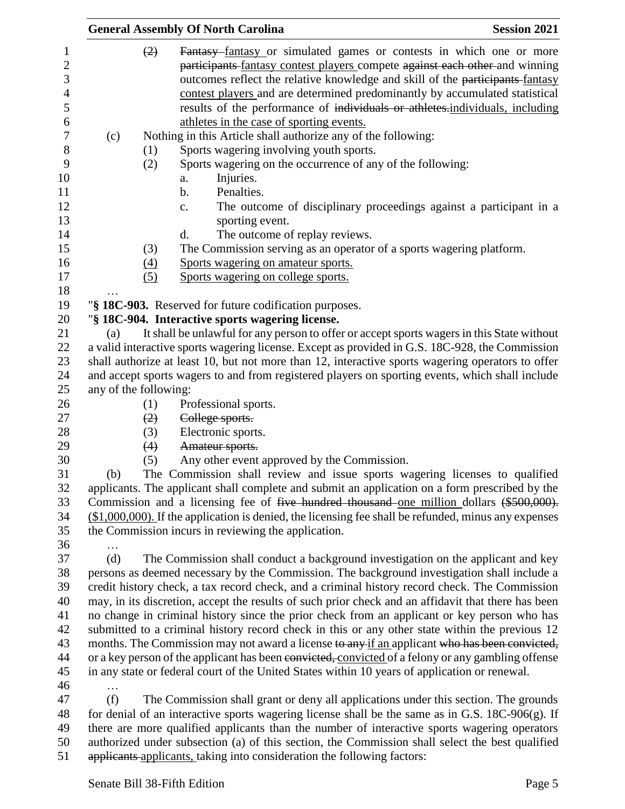|                       |     | <b>General Assembly Of North Carolina</b>                                                                                                                                                                                                                                                                                                                                                                                                      | <b>Session 2021</b> |
|-----------------------|-----|------------------------------------------------------------------------------------------------------------------------------------------------------------------------------------------------------------------------------------------------------------------------------------------------------------------------------------------------------------------------------------------------------------------------------------------------|---------------------|
|                       | (2) | Fantasy fantasy or simulated games or contests in which one or more<br>participants fantasy contest players compete against each other and winning<br>outcomes reflect the relative knowledge and skill of the participants-fantasy<br>contest players and are determined predominantly by accumulated statistical<br>results of the performance of individuals or athletes.individuals, including<br>athletes in the case of sporting events. |                     |
| (c)                   |     | Nothing in this Article shall authorize any of the following:                                                                                                                                                                                                                                                                                                                                                                                  |                     |
|                       | (1) | Sports wagering involving youth sports.                                                                                                                                                                                                                                                                                                                                                                                                        |                     |
|                       | (2) | Sports wagering on the occurrence of any of the following:                                                                                                                                                                                                                                                                                                                                                                                     |                     |
|                       |     | Injuries.<br>a.                                                                                                                                                                                                                                                                                                                                                                                                                                |                     |
|                       |     | Penalties.<br>$\mathbf b$ .                                                                                                                                                                                                                                                                                                                                                                                                                    |                     |
|                       |     | The outcome of disciplinary proceedings against a participant in a<br>c.                                                                                                                                                                                                                                                                                                                                                                       |                     |
|                       |     | sporting event.                                                                                                                                                                                                                                                                                                                                                                                                                                |                     |
|                       |     | The outcome of replay reviews.<br>d.                                                                                                                                                                                                                                                                                                                                                                                                           |                     |
|                       | (3) | The Commission serving as an operator of a sports wagering platform.                                                                                                                                                                                                                                                                                                                                                                           |                     |
|                       | (4) | Sports wagering on amateur sports.                                                                                                                                                                                                                                                                                                                                                                                                             |                     |
|                       | (5) | Sports wagering on college sports.                                                                                                                                                                                                                                                                                                                                                                                                             |                     |
|                       |     |                                                                                                                                                                                                                                                                                                                                                                                                                                                |                     |
|                       |     | "§ 18C-903. Reserved for future codification purposes.                                                                                                                                                                                                                                                                                                                                                                                         |                     |
|                       |     | "§ 18C-904. Interactive sports wagering license.                                                                                                                                                                                                                                                                                                                                                                                               |                     |
| (a)                   |     | It shall be unlawful for any person to offer or accept sports wagers in this State without                                                                                                                                                                                                                                                                                                                                                     |                     |
|                       |     | a valid interactive sports wagering license. Except as provided in G.S. 18C-928, the Commission                                                                                                                                                                                                                                                                                                                                                |                     |
|                       |     | shall authorize at least 10, but not more than 12, interactive sports wagering operators to offer                                                                                                                                                                                                                                                                                                                                              |                     |
|                       |     | and accept sports wagers to and from registered players on sporting events, which shall include                                                                                                                                                                                                                                                                                                                                                |                     |
| any of the following: |     |                                                                                                                                                                                                                                                                                                                                                                                                                                                |                     |
|                       | (1) | Professional sports.                                                                                                                                                                                                                                                                                                                                                                                                                           |                     |
|                       | (2) | College sports.                                                                                                                                                                                                                                                                                                                                                                                                                                |                     |
|                       | (3) | Electronic sports.                                                                                                                                                                                                                                                                                                                                                                                                                             |                     |
|                       | (4) | Amateur sports.                                                                                                                                                                                                                                                                                                                                                                                                                                |                     |
| (b)                   | (5) | Any other event approved by the Commission.<br>The Commission shall review and issue sports wagering licenses to qualified                                                                                                                                                                                                                                                                                                                     |                     |
|                       |     | applicants. The applicant shall complete and submit an application on a form prescribed by the                                                                                                                                                                                                                                                                                                                                                 |                     |
|                       |     | Commission and a licensing fee of five hundred thousand one million dollars (\$500,000).                                                                                                                                                                                                                                                                                                                                                       |                     |
|                       |     | $($1,000,000)$ . If the application is denied, the licensing fee shall be refunded, minus any expenses                                                                                                                                                                                                                                                                                                                                         |                     |
|                       |     | the Commission incurs in reviewing the application.                                                                                                                                                                                                                                                                                                                                                                                            |                     |
|                       |     |                                                                                                                                                                                                                                                                                                                                                                                                                                                |                     |
| (d)                   |     | The Commission shall conduct a background investigation on the applicant and key                                                                                                                                                                                                                                                                                                                                                               |                     |
|                       |     | persons as deemed necessary by the Commission. The background investigation shall include a                                                                                                                                                                                                                                                                                                                                                    |                     |
|                       |     | credit history check, a tax record check, and a criminal history record check. The Commission                                                                                                                                                                                                                                                                                                                                                  |                     |
|                       |     | may, in its discretion, accept the results of such prior check and an affidavit that there has been                                                                                                                                                                                                                                                                                                                                            |                     |
|                       |     | no change in criminal history since the prior check from an applicant or key person who has                                                                                                                                                                                                                                                                                                                                                    |                     |
|                       |     | submitted to a criminal history record check in this or any other state within the previous 12                                                                                                                                                                                                                                                                                                                                                 |                     |
|                       |     | months. The Commission may not award a license to any if an applicant who has been convicted,                                                                                                                                                                                                                                                                                                                                                  |                     |
|                       |     | or a key person of the applicant has been convicted, convicted of a felony or any gambling offense                                                                                                                                                                                                                                                                                                                                             |                     |
|                       |     | in any state or federal court of the United States within 10 years of application or renewal.                                                                                                                                                                                                                                                                                                                                                  |                     |
| .                     |     |                                                                                                                                                                                                                                                                                                                                                                                                                                                |                     |
| (f)                   |     | The Commission shall grant or deny all applications under this section. The grounds                                                                                                                                                                                                                                                                                                                                                            |                     |
|                       |     | for denial of an interactive sports wagering license shall be the same as in G.S. $18C-906(g)$ . If                                                                                                                                                                                                                                                                                                                                            |                     |
|                       |     | there are more qualified applicants than the number of interactive sports wagering operators                                                                                                                                                                                                                                                                                                                                                   |                     |
|                       |     | authorized under subsection (a) of this section, the Commission shall select the best qualified                                                                                                                                                                                                                                                                                                                                                |                     |
|                       |     | applicants applicants, taking into consideration the following factors:                                                                                                                                                                                                                                                                                                                                                                        |                     |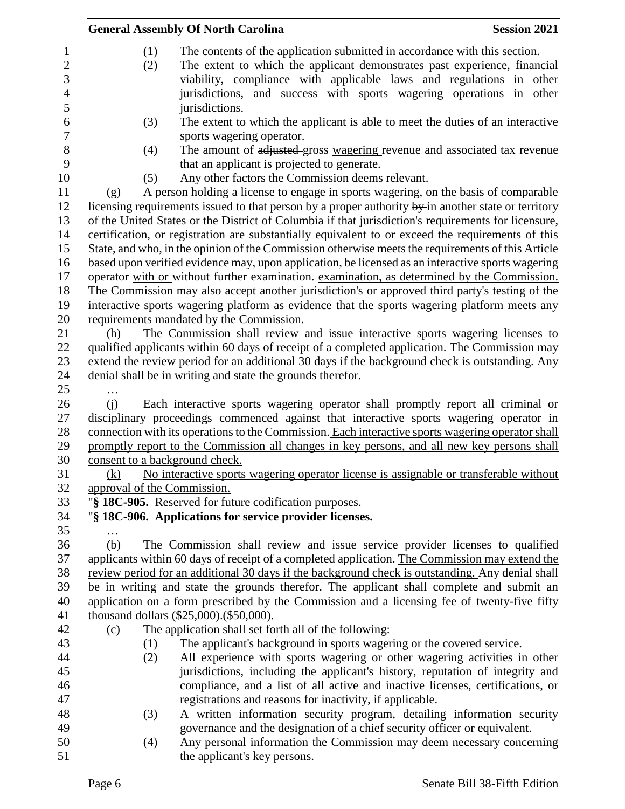|                | <b>General Assembly Of North Carolina</b> | <b>Session 2021</b>                                                                                 |  |
|----------------|-------------------------------------------|-----------------------------------------------------------------------------------------------------|--|
| $\mathbf{1}$   | (1)                                       | The contents of the application submitted in accordance with this section.                          |  |
| $\overline{2}$ | (2)                                       | The extent to which the applicant demonstrates past experience, financial                           |  |
| 3              |                                           | viability, compliance with applicable laws and regulations in other                                 |  |
| $\overline{4}$ |                                           | jurisdictions, and success with sports wagering operations in other                                 |  |
| 5              |                                           | jurisdictions.                                                                                      |  |
| 6              | (3)                                       | The extent to which the applicant is able to meet the duties of an interactive                      |  |
| $\overline{7}$ |                                           | sports wagering operator.                                                                           |  |
| 8              | (4)                                       | The amount of adjusted gross wagering revenue and associated tax revenue                            |  |
| 9              |                                           | that an applicant is projected to generate.                                                         |  |
| 10             | (5)                                       | Any other factors the Commission deems relevant.                                                    |  |
| 11             | (g)                                       | A person holding a license to engage in sports wagering, on the basis of comparable                 |  |
| 12             |                                           | licensing requirements issued to that person by a proper authority by in another state or territory |  |
| 13             |                                           | of the United States or the District of Columbia if that jurisdiction's requirements for licensure, |  |
| 14             |                                           | certification, or registration are substantially equivalent to or exceed the requirements of this   |  |
| 15             |                                           | State, and who, in the opinion of the Commission otherwise meets the requirements of this Article   |  |
| 16             |                                           | based upon verified evidence may, upon application, be licensed as an interactive sports wagering   |  |
| 17             |                                           | operator with or without further examination. examination, as determined by the Commission.         |  |
| 18             |                                           | The Commission may also accept another jurisdiction's or approved third party's testing of the      |  |
| 19             |                                           | interactive sports wagering platform as evidence that the sports wagering platform meets any        |  |
| 20             |                                           | requirements mandated by the Commission.                                                            |  |
| 21             | (h)                                       | The Commission shall review and issue interactive sports wagering licenses to                       |  |
| 22             |                                           | qualified applicants within 60 days of receipt of a completed application. The Commission may       |  |
| 23             |                                           | extend the review period for an additional 30 days if the background check is outstanding. Any      |  |
| 24             |                                           | denial shall be in writing and state the grounds therefor.                                          |  |
| 25             |                                           |                                                                                                     |  |
| 26             | (i)                                       | Each interactive sports wagering operator shall promptly report all criminal or                     |  |
| 27             |                                           | disciplinary proceedings commenced against that interactive sports wagering operator in             |  |
| 28             |                                           | connection with its operations to the Commission. Each interactive sports wagering operator shall   |  |
| 29             |                                           | promptly report to the Commission all changes in key persons, and all new key persons shall         |  |
| 30             | consent to a background check.            |                                                                                                     |  |
| 31             | (k)                                       | No interactive sports wagering operator license is assignable or transferable without               |  |
| 32<br>33       | approval of the Commission.               | "§ 18C-905. Reserved for future codification purposes.                                              |  |
| 34             |                                           |                                                                                                     |  |
| 35             |                                           | "§ 18C-906. Applications for service provider licenses.                                             |  |
| 36             | (b)                                       | The Commission shall review and issue service provider licenses to qualified                        |  |
| 37             |                                           | applicants within 60 days of receipt of a completed application. The Commission may extend the      |  |
| 38             |                                           | review period for an additional 30 days if the background check is outstanding. Any denial shall    |  |
| 39             |                                           | be in writing and state the grounds therefor. The applicant shall complete and submit an            |  |
| 40             |                                           | application on a form prescribed by the Commission and a licensing fee of twenty-five-fifty         |  |
| 41             |                                           | thousand dollars $(*25,000)$ . $(*50,000)$ .                                                        |  |
| 42             | (c)                                       | The application shall set forth all of the following:                                               |  |
| 43             | (1)                                       | The applicant's background in sports wagering or the covered service.                               |  |
| 44             | (2)                                       | All experience with sports wagering or other wagering activities in other                           |  |
| 45             |                                           | jurisdictions, including the applicant's history, reputation of integrity and                       |  |
| 46             |                                           | compliance, and a list of all active and inactive licenses, certifications, or                      |  |
| 47             |                                           | registrations and reasons for inactivity, if applicable.                                            |  |
| 48             | (3)                                       | A written information security program, detailing information security                              |  |
| 49             |                                           | governance and the designation of a chief security officer or equivalent.                           |  |
| 50             | (4)                                       | Any personal information the Commission may deem necessary concerning                               |  |
| 51             |                                           | the applicant's key persons.                                                                        |  |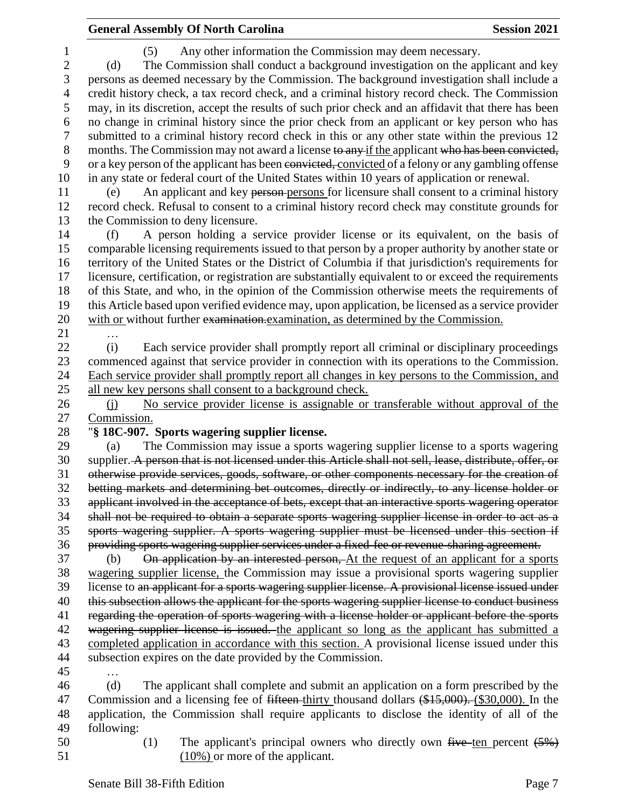# **General Assembly Of North Carolina Session 2021**

| $\mathbf{1}$   | Any other information the Commission may deem necessary.<br>(5)                                         |  |  |  |  |
|----------------|---------------------------------------------------------------------------------------------------------|--|--|--|--|
| $\overline{c}$ | The Commission shall conduct a background investigation on the applicant and key<br>(d)                 |  |  |  |  |
| $\mathfrak{Z}$ | persons as deemed necessary by the Commission. The background investigation shall include a             |  |  |  |  |
| $\overline{4}$ | credit history check, a tax record check, and a criminal history record check. The Commission           |  |  |  |  |
| 5              | may, in its discretion, accept the results of such prior check and an affidavit that there has been     |  |  |  |  |
| 6              | no change in criminal history since the prior check from an applicant or key person who has             |  |  |  |  |
| 7              | submitted to a criminal history record check in this or any other state within the previous 12          |  |  |  |  |
| $8\,$          | months. The Commission may not award a license to any if the applicant who has been convicted,          |  |  |  |  |
| 9              | or a key person of the applicant has been convicted, convicted of a felony or any gambling offense      |  |  |  |  |
| 10             | in any state or federal court of the United States within 10 years of application or renewal.           |  |  |  |  |
| 11             | An applicant and key person-persons for licensure shall consent to a criminal history<br>(e)            |  |  |  |  |
| 12             | record check. Refusal to consent to a criminal history record check may constitute grounds for          |  |  |  |  |
| 13             | the Commission to deny licensure.                                                                       |  |  |  |  |
| 14             | A person holding a service provider license or its equivalent, on the basis of<br>(f)                   |  |  |  |  |
| 15             | comparable licensing requirements issued to that person by a proper authority by another state or       |  |  |  |  |
| 16             | territory of the United States or the District of Columbia if that jurisdiction's requirements for      |  |  |  |  |
| 17             | licensure, certification, or registration are substantially equivalent to or exceed the requirements    |  |  |  |  |
| 18             | of this State, and who, in the opinion of the Commission otherwise meets the requirements of            |  |  |  |  |
| 19             | this Article based upon verified evidence may, upon application, be licensed as a service provider      |  |  |  |  |
| 20             | with or without further examination.examination, as determined by the Commission.                       |  |  |  |  |
| 21             |                                                                                                         |  |  |  |  |
| 22             | Each service provider shall promptly report all criminal or disciplinary proceedings<br>(i)             |  |  |  |  |
| 23             | commenced against that service provider in connection with its operations to the Commission.            |  |  |  |  |
| 24             | Each service provider shall promptly report all changes in key persons to the Commission, and           |  |  |  |  |
| 25             | all new key persons shall consent to a background check.                                                |  |  |  |  |
| 26             | No service provider license is assignable or transferable without approval of the<br>(i)                |  |  |  |  |
| 27             | Commission.                                                                                             |  |  |  |  |
| 28             | "§ 18C-907. Sports wagering supplier license.                                                           |  |  |  |  |
| 29             | The Commission may issue a sports wagering supplier license to a sports wagering<br>(a)                 |  |  |  |  |
| 30             | supplier. A person that is not licensed under this Article shall not sell, lease, distribute, offer, or |  |  |  |  |
| 31             | otherwise provide services, goods, software, or other components necessary for the creation of          |  |  |  |  |
| 32             | betting markets and determining bet outcomes, directly or indirectly, to any license holder or          |  |  |  |  |
| 33             | applicant involved in the acceptance of bets, except that an interactive sports wagering operator       |  |  |  |  |
| 34             | shall not be required to obtain a separate sports wagering supplier license in order to act as a        |  |  |  |  |
| 35             | sports wagering supplier. A sports wagering supplier must be licensed under this section if             |  |  |  |  |
| 36             | providing sports wagering supplier services under a fixed-fee or revenue-sharing agreement.             |  |  |  |  |
| 37             | On application by an interested person, At the request of an applicant for a sports<br>(b)              |  |  |  |  |
| 38             | wagering supplier license, the Commission may issue a provisional sports wagering supplier              |  |  |  |  |
| 39             | license to an applicant for a sports wagering supplier license. A provisional license issued under      |  |  |  |  |
| 40             | this subsection allows the applicant for the sports wagering supplier license to conduct business       |  |  |  |  |
| 41             | regarding the operation of sports wagering with a license holder or applicant before the sports         |  |  |  |  |
| 42             | wagering supplier license is issued. the applicant so long as the applicant has submitted a             |  |  |  |  |
| 43             | completed application in accordance with this section. A provisional license issued under this          |  |  |  |  |
| 44             | subsection expires on the date provided by the Commission.                                              |  |  |  |  |
| 45             |                                                                                                         |  |  |  |  |
| 46             | (d)<br>The applicant shall complete and submit an application on a form prescribed by the               |  |  |  |  |
| 47             | Commission and a licensing fee of fifteen-thirty thousand dollars (\$15,000). (\$30,000). In the        |  |  |  |  |
| 48             | application, the Commission shall require applicants to disclose the identity of all of the             |  |  |  |  |
| 49             | following:                                                                                              |  |  |  |  |
| 50             | The applicant's principal owners who directly own five ten percent $(5%)$<br>(1)                        |  |  |  |  |

51 (10%) or more of the applicant.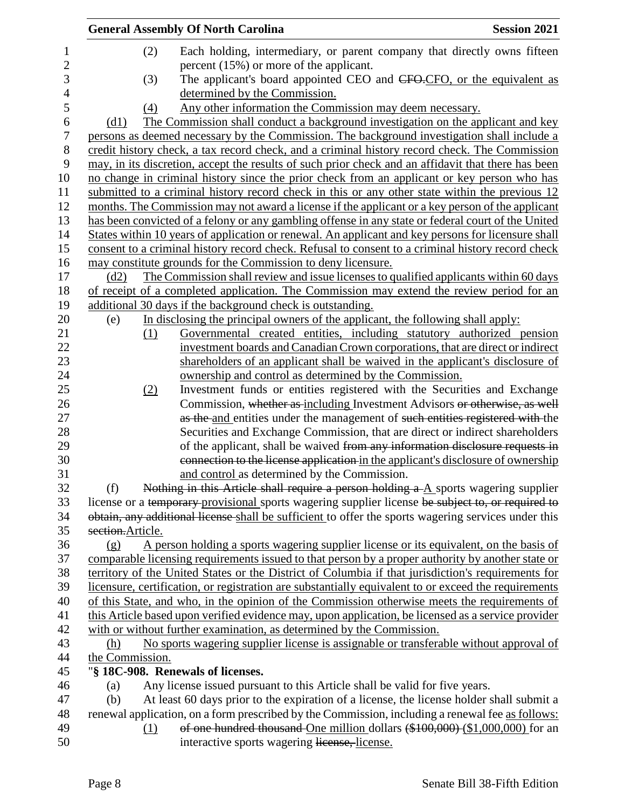|                  | <b>General Assembly Of North Carolina</b>                                                            | <b>Session 2021</b> |
|------------------|------------------------------------------------------------------------------------------------------|---------------------|
| $\mathbf 1$      | (2)<br>Each holding, intermediary, or parent company that directly owns fifteen                      |                     |
| $\mathbf{2}$     | percent $(15\%)$ or more of the applicant.                                                           |                     |
| 3                | The applicant's board appointed CEO and CFO-CFO, or the equivalent as<br>(3)                         |                     |
| 4                | determined by the Commission.                                                                        |                     |
| 5                | Any other information the Commission may deem necessary.<br>(4)                                      |                     |
| 6                | The Commission shall conduct a background investigation on the applicant and key<br>(d1)             |                     |
| $\boldsymbol{7}$ | persons as deemed necessary by the Commission. The background investigation shall include a          |                     |
| 8                | credit history check, a tax record check, and a criminal history record check. The Commission        |                     |
| 9                | may, in its discretion, accept the results of such prior check and an affidavit that there has been  |                     |
| 10               | no change in criminal history since the prior check from an applicant or key person who has          |                     |
| 11               | submitted to a criminal history record check in this or any other state within the previous 12       |                     |
| 12               | months. The Commission may not award a license if the applicant or a key person of the applicant     |                     |
| 13               | has been convicted of a felony or any gambling offense in any state or federal court of the United   |                     |
| 14               | States within 10 years of application or renewal. An applicant and key persons for licensure shall   |                     |
| 15               | consent to a criminal history record check. Refusal to consent to a criminal history record check    |                     |
| 16               | may constitute grounds for the Commission to deny licensure.                                         |                     |
| 17               | The Commission shall review and issue licenses to qualified applicants within 60 days<br>(d2)        |                     |
| 18               | of receipt of a completed application. The Commission may extend the review period for an            |                     |
| 19               | additional 30 days if the background check is outstanding.                                           |                     |
| 20               | In disclosing the principal owners of the applicant, the following shall apply:<br>(e)               |                     |
| 21               | Governmental created entities, including statutory authorized pension<br>(1)                         |                     |
| 22               | investment boards and Canadian Crown corporations, that are direct or indirect                       |                     |
| 23               | shareholders of an applicant shall be waived in the applicant's disclosure of                        |                     |
| 24               | ownership and control as determined by the Commission.                                               |                     |
| 25               | Investment funds or entities registered with the Securities and Exchange<br>(2)                      |                     |
| 26               | Commission, whether as including Investment Advisors or otherwise, as well                           |                     |
| 27               | as the and entities under the management of such entities registered with the                        |                     |
| 28               | Securities and Exchange Commission, that are direct or indirect shareholders                         |                     |
| 29               | of the applicant, shall be waived from any information disclosure requests in                        |                     |
| 30               | connection to the license application in the applicant's disclosure of ownership                     |                     |
| 31               | and control as determined by the Commission.                                                         |                     |
| 32               | Nothing in this Article shall require a person holding $a - A$ sports wagering supplier<br>(f)       |                     |
| 33               | license or a temporary provisional sports wagering supplier license be subject to, or required to    |                     |
| 34               | obtain, any additional license shall be sufficient to offer the sports wagering services under this  |                     |
| 35               | section.Article.                                                                                     |                     |
| 36               | A person holding a sports wagering supplier license or its equivalent, on the basis of<br>(g)        |                     |
| 37               | comparable licensing requirements issued to that person by a proper authority by another state or    |                     |
| 38               | territory of the United States or the District of Columbia if that jurisdiction's requirements for   |                     |
| 39               | licensure, certification, or registration are substantially equivalent to or exceed the requirements |                     |
| 40               | of this State, and who, in the opinion of the Commission otherwise meets the requirements of         |                     |
| 41               | this Article based upon verified evidence may, upon application, be licensed as a service provider   |                     |
| 42               | with or without further examination, as determined by the Commission.                                |                     |
| 43               | No sports wagering supplier license is assignable or transferable without approval of<br>(h)         |                     |
| 44               | the Commission.                                                                                      |                     |
| 45               | "§ 18C-908. Renewals of licenses.                                                                    |                     |
| 46               | Any license issued pursuant to this Article shall be valid for five years.<br>(a)                    |                     |
| 47               | At least 60 days prior to the expiration of a license, the license holder shall submit a<br>(b)      |                     |
| 48               | renewal application, on a form prescribed by the Commission, including a renewal fee as follows:     |                     |
| 49               | of one hundred thousand One million dollars (\$100,000) (\$1,000,000) for an<br>(1)                  |                     |
| 50               | interactive sports wagering license, license.                                                        |                     |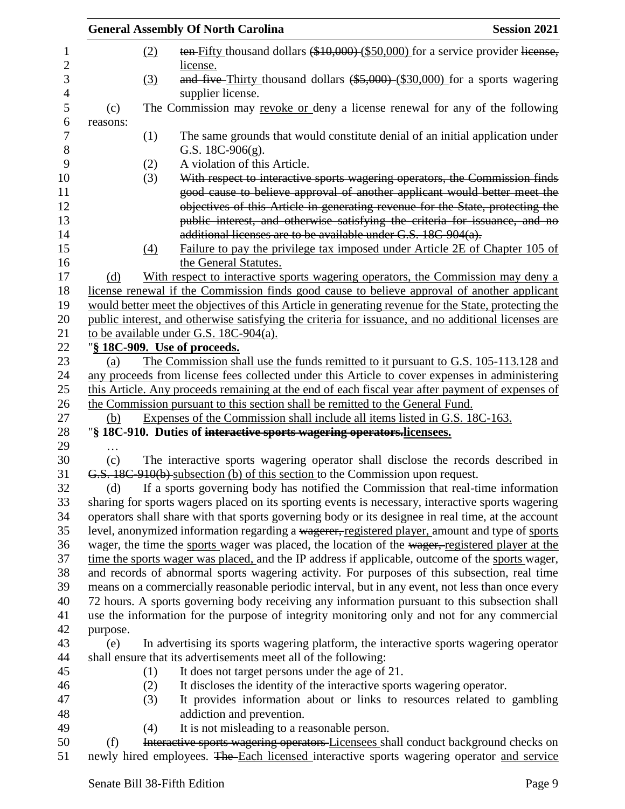|          |     | <b>General Assembly Of North Carolina</b>                                                                                                                                       | <b>Session 2021</b> |
|----------|-----|---------------------------------------------------------------------------------------------------------------------------------------------------------------------------------|---------------------|
|          | (2) | ten-Fifty thousand dollars (\$10,000) (\$50,000) for a service provider license,<br>license.                                                                                    |                     |
|          | (3) | and five-Thirty thousand dollars $(*5,000)$ (\$30,000) for a sports wagering<br>supplier license.                                                                               |                     |
| (c)      |     | The Commission may revoke or deny a license renewal for any of the following                                                                                                    |                     |
| reasons: |     |                                                                                                                                                                                 |                     |
|          | (1) | The same grounds that would constitute denial of an initial application under<br>G.S. $18C-906(g)$ .                                                                            |                     |
|          | (2) | A violation of this Article.                                                                                                                                                    |                     |
|          | (3) | With respect to interactive sports wagering operators, the Commission finds<br>good cause to believe approval of another applicant would better meet the                        |                     |
|          |     | objectives of this Article in generating revenue for the State, protecting the                                                                                                  |                     |
|          |     | public interest, and otherwise satisfying the criteria for issuance, and no                                                                                                     |                     |
|          |     | additional licenses are to be available under G.S. 18C-904(a).                                                                                                                  |                     |
|          | (4) | Failure to pay the privilege tax imposed under Article 2E of Chapter 105 of<br>the General Statutes.                                                                            |                     |
| (d)      |     | With respect to interactive sports wagering operators, the Commission may deny a                                                                                                |                     |
|          |     | license renewal if the Commission finds good cause to believe approval of another applicant                                                                                     |                     |
|          |     | would better meet the objectives of this Article in generating revenue for the State, protecting the                                                                            |                     |
|          |     | public interest, and otherwise satisfying the criteria for issuance, and no additional licenses are                                                                             |                     |
|          |     | to be available under G.S. 18C-904(a).                                                                                                                                          |                     |
|          |     | "§ 18C-909. Use of proceeds.                                                                                                                                                    |                     |
| (a)      |     | The Commission shall use the funds remitted to it pursuant to G.S. 105-113.128 and                                                                                              |                     |
|          |     | any proceeds from license fees collected under this Article to cover expenses in administering                                                                                  |                     |
|          |     | this Article. Any proceeds remaining at the end of each fiscal year after payment of expenses of                                                                                |                     |
|          |     | the Commission pursuant to this section shall be remitted to the General Fund.                                                                                                  |                     |
| (b)      |     | Expenses of the Commission shall include all items listed in G.S. 18C-163.                                                                                                      |                     |
|          |     | "§ 18C-910. Duties of interactive sports wagering operators.licensees.                                                                                                          |                     |
|          |     |                                                                                                                                                                                 |                     |
| (c)      |     | The interactive sports wagering operator shall disclose the records described in                                                                                                |                     |
|          |     | G.S. 18C-910(b) subsection (b) of this section to the Commission upon request.                                                                                                  |                     |
| (d)      |     | If a sports governing body has notified the Commission that real-time information                                                                                               |                     |
|          |     | sharing for sports wagers placed on its sporting events is necessary, interactive sports wagering                                                                               |                     |
|          |     | operators shall share with that sports governing body or its designee in real time, at the account                                                                              |                     |
|          |     | level, anonymized information regarding a wagerer, registered player, amount and type of sports                                                                                 |                     |
|          |     | wager, the time the sports wager was placed, the location of the wager, registered player at the                                                                                |                     |
|          |     | time the sports wager was placed, and the IP address if applicable, outcome of the sports wager,                                                                                |                     |
|          |     | and records of abnormal sports wagering activity. For purposes of this subsection, real time                                                                                    |                     |
|          |     | means on a commercially reasonable periodic interval, but in any event, not less than once every                                                                                |                     |
|          |     | 72 hours. A sports governing body receiving any information pursuant to this subsection shall                                                                                   |                     |
|          |     | use the information for the purpose of integrity monitoring only and not for any commercial                                                                                     |                     |
| purpose. |     |                                                                                                                                                                                 |                     |
| (e)      |     | In advertising its sports wagering platform, the interactive sports wagering operator                                                                                           |                     |
|          |     | shall ensure that its advertisements meet all of the following:                                                                                                                 |                     |
|          | (1) | It does not target persons under the age of 21.                                                                                                                                 |                     |
|          | (2) | It discloses the identity of the interactive sports wagering operator.                                                                                                          |                     |
|          | (3) | It provides information about or links to resources related to gambling                                                                                                         |                     |
|          |     | addiction and prevention.                                                                                                                                                       |                     |
|          | (4) | It is not misleading to a reasonable person.                                                                                                                                    |                     |
| (f)      |     | Interactive sports wagering operators Licensees shall conduct background checks on<br>newly hired employees. The Each licensed interactive sports wagering operator and service |                     |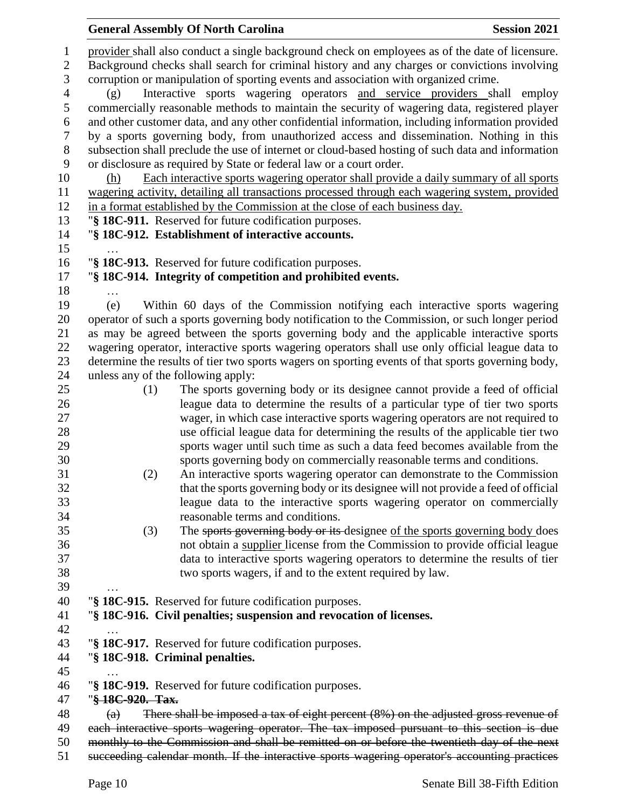|                     |                                                                                                   | <b>General Assembly Of North Carolina</b>                                                                                                                                                       | <b>Session 2021</b> |  |
|---------------------|---------------------------------------------------------------------------------------------------|-------------------------------------------------------------------------------------------------------------------------------------------------------------------------------------------------|---------------------|--|
| 1<br>$\overline{c}$ |                                                                                                   | provider shall also conduct a single background check on employees as of the date of licensure.<br>Background checks shall search for criminal history and any charges or convictions involving |                     |  |
| 3                   | corruption or manipulation of sporting events and association with organized crime.               |                                                                                                                                                                                                 |                     |  |
| 4                   | (g)                                                                                               | Interactive sports wagering operators and service providers shall employ                                                                                                                        |                     |  |
| $\mathfrak s$       |                                                                                                   | commercially reasonable methods to maintain the security of wagering data, registered player                                                                                                    |                     |  |
| 6                   |                                                                                                   | and other customer data, and any other confidential information, including information provided                                                                                                 |                     |  |
| 7                   | by a sports governing body, from unauthorized access and dissemination. Nothing in this           |                                                                                                                                                                                                 |                     |  |
| $8\,$               | subsection shall preclude the use of internet or cloud-based hosting of such data and information |                                                                                                                                                                                                 |                     |  |
| 9                   |                                                                                                   | or disclosure as required by State or federal law or a court order.                                                                                                                             |                     |  |
| 10<br>11            | (h)                                                                                               | Each interactive sports wagering operator shall provide a daily summary of all sports<br>wagering activity, detailing all transactions processed through each wagering system, provided         |                     |  |
| 12                  |                                                                                                   | in a format established by the Commission at the close of each business day.                                                                                                                    |                     |  |
| 13                  |                                                                                                   | "§ 18C-911. Reserved for future codification purposes.                                                                                                                                          |                     |  |
| 14                  |                                                                                                   | "§ 18C-912. Establishment of interactive accounts.                                                                                                                                              |                     |  |
| 15                  |                                                                                                   |                                                                                                                                                                                                 |                     |  |
| 16                  |                                                                                                   | "§ 18C-913. Reserved for future codification purposes.                                                                                                                                          |                     |  |
| 17                  |                                                                                                   | "§ 18C-914. Integrity of competition and prohibited events.                                                                                                                                     |                     |  |
| 18                  | .                                                                                                 |                                                                                                                                                                                                 |                     |  |
| 19<br>20            | (e)                                                                                               | Within 60 days of the Commission notifying each interactive sports wagering<br>operator of such a sports governing body notification to the Commission, or such longer period                   |                     |  |
| 21                  |                                                                                                   | as may be agreed between the sports governing body and the applicable interactive sports                                                                                                        |                     |  |
| 22                  |                                                                                                   | wagering operator, interactive sports wagering operators shall use only official league data to                                                                                                 |                     |  |
| 23                  |                                                                                                   | determine the results of tier two sports wagers on sporting events of that sports governing body,                                                                                               |                     |  |
| 24                  |                                                                                                   | unless any of the following apply:                                                                                                                                                              |                     |  |
| 25                  | (1)                                                                                               | The sports governing body or its designee cannot provide a feed of official                                                                                                                     |                     |  |
| 26                  |                                                                                                   | league data to determine the results of a particular type of tier two sports                                                                                                                    |                     |  |
| 27<br>28            |                                                                                                   | wager, in which case interactive sports wagering operators are not required to<br>use official league data for determining the results of the applicable tier two                               |                     |  |
| 29                  |                                                                                                   | sports wager until such time as such a data feed becomes available from the                                                                                                                     |                     |  |
| 30                  |                                                                                                   | sports governing body on commercially reasonable terms and conditions.                                                                                                                          |                     |  |
| 31                  | (2)                                                                                               | An interactive sports wagering operator can demonstrate to the Commission                                                                                                                       |                     |  |
| 32                  |                                                                                                   | that the sports governing body or its designee will not provide a feed of official                                                                                                              |                     |  |
| 33                  |                                                                                                   | league data to the interactive sports wagering operator on commercially                                                                                                                         |                     |  |
| 34                  |                                                                                                   | reasonable terms and conditions.                                                                                                                                                                |                     |  |
| 35                  | (3)                                                                                               | The sports governing body or its designee of the sports governing body does                                                                                                                     |                     |  |
| 36<br>37            |                                                                                                   | not obtain a supplier license from the Commission to provide official league<br>data to interactive sports wagering operators to determine the results of tier                                  |                     |  |
| 38                  |                                                                                                   | two sports wagers, if and to the extent required by law.                                                                                                                                        |                     |  |
| 39                  |                                                                                                   |                                                                                                                                                                                                 |                     |  |
| 40                  |                                                                                                   | "§ 18C-915. Reserved for future codification purposes.                                                                                                                                          |                     |  |
| 41                  |                                                                                                   | "§ 18C-916. Civil penalties; suspension and revocation of licenses.                                                                                                                             |                     |  |
| 42                  |                                                                                                   |                                                                                                                                                                                                 |                     |  |
| 43                  |                                                                                                   | "§ 18C-917. Reserved for future codification purposes.                                                                                                                                          |                     |  |
| 44                  |                                                                                                   | "§ 18C-918. Criminal penalties.                                                                                                                                                                 |                     |  |
| 45<br>46            |                                                                                                   | "§ 18C-919. Reserved for future codification purposes.                                                                                                                                          |                     |  |
| 47                  | "§ 18C-920. Tax.                                                                                  |                                                                                                                                                                                                 |                     |  |
| 48                  | $\left( a\right)$                                                                                 | There shall be imposed a tax of eight percent $(8\%)$ on the adjusted gross revenue of                                                                                                          |                     |  |
| 49                  |                                                                                                   | each interactive sports wagering operator. The tax imposed pursuant to this section is due                                                                                                      |                     |  |
| 50                  |                                                                                                   | monthly to the Commission and shall be remitted on or before the twentieth day of the next                                                                                                      |                     |  |
| 51                  |                                                                                                   | succeeding calendar month. If the interactive sports wagering operator's accounting practices                                                                                                   |                     |  |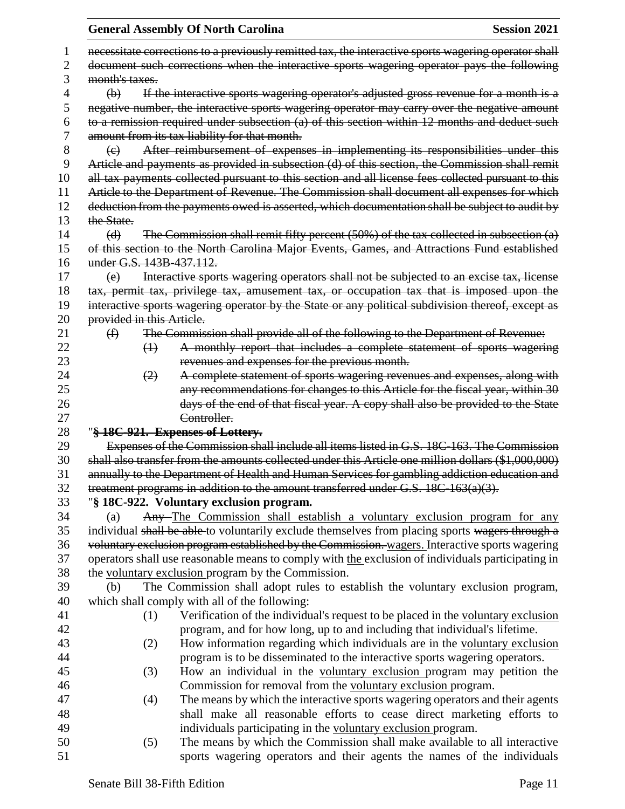| <b>Session 2021</b>                                                                                  |
|------------------------------------------------------------------------------------------------------|
| necessitate corrections to a previously remitted tax, the interactive sports wagering operator shall |
| document such corrections when the interactive sports wagering operator pays the following           |
|                                                                                                      |
| If the interactive sports wagering operator's adjusted gross revenue for a month is a                |
| negative number, the interactive sports wagering operator may carry over the negative amount         |
| to a remission required under subsection (a) of this section within 12 months and deduct such        |
|                                                                                                      |
| After reimbursement of expenses in implementing its responsibilities under this                      |
| Article and payments as provided in subsection (d) of this section, the Commission shall remit       |
| all tax payments collected pursuant to this section and all license fees collected pursuant to this  |
| Article to the Department of Revenue. The Commission shall document all expenses for which           |
| deduction from the payments owed is asserted, which documentation shall be subject to audit by       |
|                                                                                                      |
| The Commission shall remit fifty percent $(50%)$ of the tax collected in subsection $(a)$            |
| of this section to the North Carolina Major Events, Games, and Attractions Fund established          |
|                                                                                                      |
| Interactive sports wagering operators shall not be subjected to an excise tax, license               |
| tax, permit tax, privilege tax, amusement tax, or occupation tax that is imposed upon the            |
| interactive sports wagering operator by the State or any political subdivision thereof, except as    |
|                                                                                                      |
| The Commission shall provide all of the following to the Department of Revenue:                      |
| A monthly report that includes a complete statement of sports wagering                               |
|                                                                                                      |
| A complete statement of sports wagering revenues and expenses, along with                            |
| any recommendations for changes to this Article for the fiscal year, within 30                       |
| days of the end of that fiscal year. A copy shall also be provided to the State                      |
|                                                                                                      |
|                                                                                                      |
| Expenses of the Commission shall include all items listed in G.S. 18C-163. The Commission            |
| shall also transfer from the amounts collected under this Article one million dollars (\$1,000,000)  |
| annually to the Department of Health and Human Services for gambling addiction education and         |
| treatment programs in addition to the amount transferred under G.S. 18C-163(a)(3).                   |
|                                                                                                      |
| Any-The Commission shall establish a voluntary exclusion program for any                             |
| individual shall be able to voluntarily exclude themselves from placing sports wagers through a      |
| voluntary exclusion program established by the Commission. wagers. Interactive sports wagering       |
| operators shall use reasonable means to comply with the exclusion of individuals participating in    |
|                                                                                                      |
| The Commission shall adopt rules to establish the voluntary exclusion program,                       |
|                                                                                                      |
| Verification of the individual's request to be placed in the voluntary exclusion                     |
| program, and for how long, up to and including that individual's lifetime.                           |
| How information regarding which individuals are in the voluntary exclusion                           |
| program is to be disseminated to the interactive sports wagering operators.                          |
| How an individual in the voluntary exclusion program may petition the                                |
| Commission for removal from the voluntary exclusion program.                                         |
| The means by which the interactive sports wagering operators and their agents                        |
| shall make all reasonable efforts to cease direct marketing efforts to                               |
| individuals participating in the voluntary exclusion program.                                        |
| The means by which the Commission shall make available to all interactive                            |
| sports wagering operators and their agents the names of the individuals                              |
|                                                                                                      |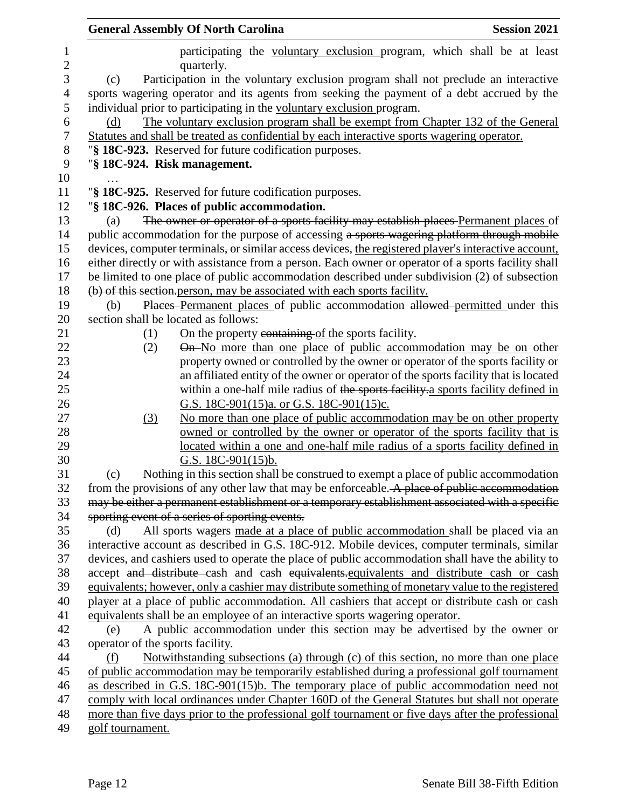|                                  | <b>General Assembly Of North Carolina</b>                                                                                                                                             | <b>Session 2021</b> |
|----------------------------------|---------------------------------------------------------------------------------------------------------------------------------------------------------------------------------------|---------------------|
|                                  | participating the voluntary exclusion program, which shall be at least<br>quarterly.                                                                                                  |                     |
| (c)                              | Participation in the voluntary exclusion program shall not preclude an interactive                                                                                                    |                     |
|                                  | sports wagering operator and its agents from seeking the payment of a debt accrued by the                                                                                             |                     |
|                                  | individual prior to participating in the voluntary exclusion program.                                                                                                                 |                     |
| (d)                              | The voluntary exclusion program shall be exempt from Chapter 132 of the General                                                                                                       |                     |
|                                  | Statutes and shall be treated as confidential by each interactive sports wagering operator.                                                                                           |                     |
|                                  | "§ 18C-923. Reserved for future codification purposes.                                                                                                                                |                     |
|                                  | "§ 18C-924. Risk management.                                                                                                                                                          |                     |
|                                  |                                                                                                                                                                                       |                     |
|                                  | "§ 18C-925. Reserved for future codification purposes.                                                                                                                                |                     |
|                                  | "§ 18C-926. Places of public accommodation.                                                                                                                                           |                     |
| (a)                              | The owner or operator of a sports facility may establish places Permanent places of                                                                                                   |                     |
|                                  | public accommodation for the purpose of accessing a sports wagering platform through mobile                                                                                           |                     |
|                                  | devices, computer terminals, or similar access devices, the registered player's interactive account,                                                                                  |                     |
|                                  | either directly or with assistance from a person. Each owner or operator of a sports facility shall                                                                                   |                     |
|                                  | be limited to one place of public accommodation described under subdivision (2) of subsection                                                                                         |                     |
|                                  | (b) of this section person, may be associated with each sports facility.                                                                                                              |                     |
| (b)                              | Places Permanent places of public accommodation allowed permitted under this                                                                                                          |                     |
|                                  | section shall be located as follows:                                                                                                                                                  |                     |
| (1)                              | On the property containing of the sports facility.                                                                                                                                    |                     |
| (2)                              | On-No more than one place of public accommodation may be on other                                                                                                                     |                     |
|                                  | property owned or controlled by the owner or operator of the sports facility or                                                                                                       |                     |
|                                  | an affiliated entity of the owner or operator of the sports facility that is located                                                                                                  |                     |
|                                  | within a one-half mile radius of the sports facility a sports facility defined in                                                                                                     |                     |
|                                  | G.S. 18C-901(15)a. or G.S. 18C-901(15)c.                                                                                                                                              |                     |
| (3)                              | No more than one place of public accommodation may be on other property                                                                                                               |                     |
|                                  | owned or controlled by the owner or operator of the sports facility that is                                                                                                           |                     |
|                                  | located within a one and one-half mile radius of a sports facility defined in                                                                                                         |                     |
|                                  | G.S. $18C-901(15)b$ .                                                                                                                                                                 |                     |
| (c)                              | Nothing in this section shall be construed to exempt a place of public accommodation<br>from the provisions of any other law that may be enforceable. A place of public accommodation |                     |
|                                  |                                                                                                                                                                                       |                     |
|                                  | may be either a permanent establishment or a temporary establishment associated with a specific<br>sporting event of a series of sporting events.                                     |                     |
| (d)                              | All sports wagers made at a place of public accommodation shall be placed via an                                                                                                      |                     |
|                                  | interactive account as described in G.S. 18C-912. Mobile devices, computer terminals, similar                                                                                         |                     |
|                                  | devices, and cashiers used to operate the place of public accommodation shall have the ability to                                                                                     |                     |
|                                  | accept and distribute cash and cash equivalents equivalents and distribute cash or cash                                                                                               |                     |
|                                  | equivalents; however, only a cashier may distribute something of monetary value to the registered                                                                                     |                     |
|                                  | player at a place of public accommodation. All cashiers that accept or distribute cash or cash                                                                                        |                     |
|                                  | equivalents shall be an employee of an interactive sports wagering operator.                                                                                                          |                     |
| (e)                              | A public accommodation under this section may be advertised by the owner or                                                                                                           |                     |
| operator of the sports facility. |                                                                                                                                                                                       |                     |
| (f)                              | Notwithstanding subsections (a) through (c) of this section, no more than one place                                                                                                   |                     |
|                                  | of public accommodation may be temporarily established during a professional golf tournament                                                                                          |                     |
|                                  | as described in G.S. 18C-901(15)b. The temporary place of public accommodation need not                                                                                               |                     |
|                                  | comply with local ordinances under Chapter 160D of the General Statutes but shall not operate                                                                                         |                     |
|                                  | more than five days prior to the professional golf tournament or five days after the professional                                                                                     |                     |
| golf tournament.                 |                                                                                                                                                                                       |                     |
|                                  |                                                                                                                                                                                       |                     |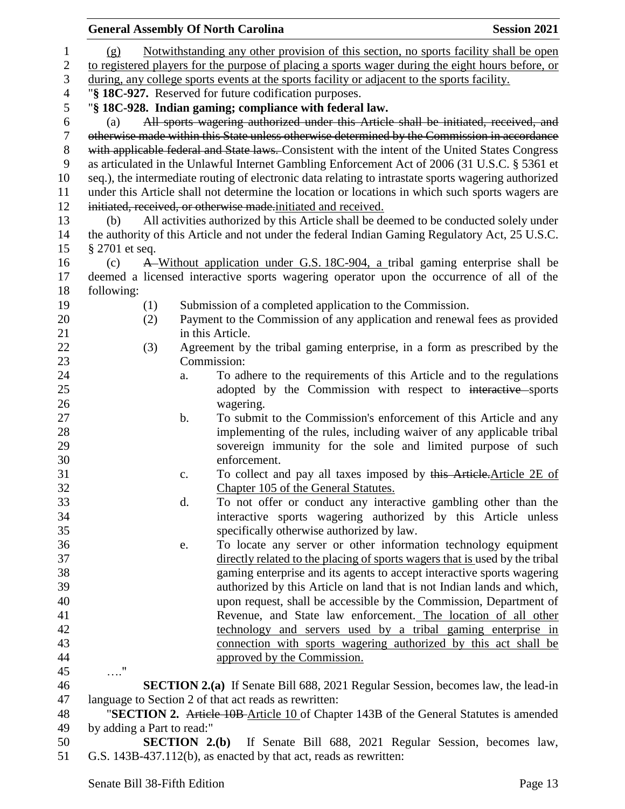|                  |                                                                                                   |              | <b>General Assembly Of North Carolina</b>                                                            | <b>Session 2021</b> |  |
|------------------|---------------------------------------------------------------------------------------------------|--------------|------------------------------------------------------------------------------------------------------|---------------------|--|
| 1                | (g)                                                                                               |              | Notwithstanding any other provision of this section, no sports facility shall be open                |                     |  |
| $\boldsymbol{2}$ | to registered players for the purpose of placing a sports wager during the eight hours before, or |              |                                                                                                      |                     |  |
| 3                | during, any college sports events at the sports facility or adjacent to the sports facility.      |              |                                                                                                      |                     |  |
| $\overline{4}$   |                                                                                                   |              | "§ 18C-927. Reserved for future codification purposes.                                               |                     |  |
| 5                |                                                                                                   |              | "§ 18C-928. Indian gaming; compliance with federal law.                                              |                     |  |
| 6                | (a)                                                                                               |              | All sports wagering authorized under this Article shall be initiated, received, and                  |                     |  |
| $\tau$           |                                                                                                   |              | otherwise made within this State unless otherwise determined by the Commission in accordance         |                     |  |
| $8\,$            |                                                                                                   |              | with applicable federal and State laws. Consistent with the intent of the United States Congress     |                     |  |
| 9                |                                                                                                   |              | as articulated in the Unlawful Internet Gambling Enforcement Act of 2006 (31 U.S.C. § 5361 et        |                     |  |
| 10               |                                                                                                   |              | seq.), the intermediate routing of electronic data relating to intrastate sports wagering authorized |                     |  |
| 11               |                                                                                                   |              | under this Article shall not determine the location or locations in which such sports wagers are     |                     |  |
| 12               |                                                                                                   |              | initiated, received, or otherwise made-initiated and received.                                       |                     |  |
| 13               | (b)                                                                                               |              | All activities authorized by this Article shall be deemed to be conducted solely under               |                     |  |
| 14               |                                                                                                   |              | the authority of this Article and not under the federal Indian Gaming Regulatory Act, 25 U.S.C.      |                     |  |
| 15               | § 2701 et seq.                                                                                    |              |                                                                                                      |                     |  |
| 16               | (c)                                                                                               |              | A Without application under G.S. 18C-904, a tribal gaming enterprise shall be                        |                     |  |
| 17               |                                                                                                   |              | deemed a licensed interactive sports wagering operator upon the occurrence of all of the             |                     |  |
| 18               | following:                                                                                        |              |                                                                                                      |                     |  |
| 19               | (1)                                                                                               |              | Submission of a completed application to the Commission.                                             |                     |  |
| 20               | (2)                                                                                               |              | Payment to the Commission of any application and renewal fees as provided                            |                     |  |
| 21               |                                                                                                   |              | in this Article.                                                                                     |                     |  |
| 22               | (3)                                                                                               |              | Agreement by the tribal gaming enterprise, in a form as prescribed by the                            |                     |  |
| 23               |                                                                                                   |              | Commission:                                                                                          |                     |  |
| 24               |                                                                                                   | a.           | To adhere to the requirements of this Article and to the regulations                                 |                     |  |
| 25               |                                                                                                   |              | adopted by the Commission with respect to interactive sports                                         |                     |  |
| 26               |                                                                                                   |              | wagering.                                                                                            |                     |  |
| 27               |                                                                                                   | b.           | To submit to the Commission's enforcement of this Article and any                                    |                     |  |
| 28               |                                                                                                   |              | implementing of the rules, including waiver of any applicable tribal                                 |                     |  |
| 29               |                                                                                                   |              | sovereign immunity for the sole and limited purpose of such                                          |                     |  |
| 30               |                                                                                                   |              | enforcement.                                                                                         |                     |  |
| 31               |                                                                                                   | c.           | To collect and pay all taxes imposed by this Article. Article 2E of                                  |                     |  |
| 32               |                                                                                                   |              | Chapter 105 of the General Statutes.                                                                 |                     |  |
| 33               |                                                                                                   | d.           | To not offer or conduct any interactive gambling other than the                                      |                     |  |
| 34               |                                                                                                   |              | interactive sports wagering authorized by this Article unless                                        |                     |  |
| 35               |                                                                                                   |              | specifically otherwise authorized by law.                                                            |                     |  |
| 36               |                                                                                                   | e.           | To locate any server or other information technology equipment                                       |                     |  |
| 37               |                                                                                                   |              | directly related to the placing of sports wagers that is used by the tribal                          |                     |  |
| 38               |                                                                                                   |              | gaming enterprise and its agents to accept interactive sports wagering                               |                     |  |
| 39               |                                                                                                   |              | authorized by this Article on land that is not Indian lands and which,                               |                     |  |
| 40               |                                                                                                   |              | upon request, shall be accessible by the Commission, Department of                                   |                     |  |
| 41               |                                                                                                   |              | Revenue, and State law enforcement. The location of all other                                        |                     |  |
| 42               |                                                                                                   |              | technology and servers used by a tribal gaming enterprise in                                         |                     |  |
| 43               |                                                                                                   |              | connection with sports wagering authorized by this act shall be                                      |                     |  |
|                  |                                                                                                   |              |                                                                                                      |                     |  |
| 44               | $\ldots$ "                                                                                        |              | approved by the Commission.                                                                          |                     |  |
| 45               |                                                                                                   |              |                                                                                                      |                     |  |
| 46               |                                                                                                   |              | <b>SECTION 2.(a)</b> If Senate Bill 688, 2021 Regular Session, becomes law, the lead-in              |                     |  |
| 47               |                                                                                                   |              | language to Section 2 of that act reads as rewritten:                                                |                     |  |
| 48               |                                                                                                   |              | "SECTION 2. Article 10B-Article 10 of Chapter 143B of the General Statutes is amended                |                     |  |
| 49               | by adding a Part to read:"                                                                        |              |                                                                                                      |                     |  |
| 50               |                                                                                                   | SECTION 2(b) | If Senate Bill 688, 2021 Regular Session, becomes law,                                               |                     |  |
| 51               |                                                                                                   |              | G.S. 143B-437.112(b), as enacted by that act, reads as rewritten:                                    |                     |  |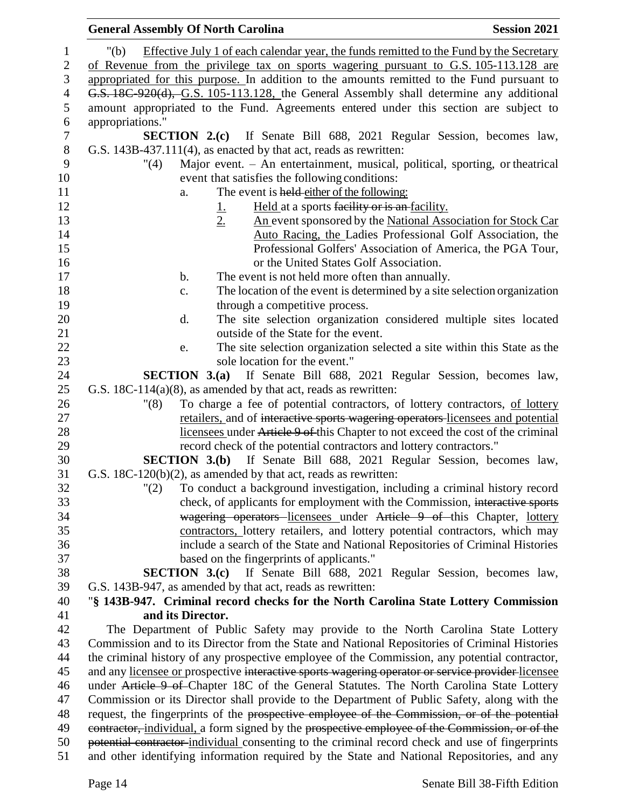| <b>General Assembly Of North Carolina</b><br><b>Session 2021</b>                                                  |  |
|-------------------------------------------------------------------------------------------------------------------|--|
| Effective July 1 of each calendar year, the funds remitted to the Fund by the Secretary<br>" $(b)$                |  |
| of Revenue from the privilege tax on sports wagering pursuant to G.S. 105-113.128 are                             |  |
| appropriated for this purpose. In addition to the amounts remitted to the Fund pursuant to                        |  |
| G.S. 18C-920(d), G.S. 105-113.128, the General Assembly shall determine any additional                            |  |
| amount appropriated to the Fund. Agreements entered under this section are subject to                             |  |
| appropriations."                                                                                                  |  |
| <b>SECTION 2.(c)</b> If Senate Bill 688, 2021 Regular Session, becomes law,                                       |  |
| G.S. 143B-437.111(4), as enacted by that act, reads as rewritten:                                                 |  |
| Major event. - An entertainment, musical, political, sporting, or theatrical<br>"(4)                              |  |
| event that satisfies the following conditions:                                                                    |  |
| The event is held either of the following:<br>a.                                                                  |  |
| Held at a sports facility or is an facility.<br><u>1.</u>                                                         |  |
| 2.<br>An event sponsored by the National Association for Stock Car                                                |  |
| Auto Racing, the Ladies Professional Golf Association, the                                                        |  |
| Professional Golfers' Association of America, the PGA Tour,                                                       |  |
| or the United States Golf Association.                                                                            |  |
| The event is not held more often than annually.<br>b.                                                             |  |
| The location of the event is determined by a site selection organization<br>c.                                    |  |
| through a competitive process.                                                                                    |  |
| The site selection organization considered multiple sites located<br>d.                                           |  |
| outside of the State for the event.                                                                               |  |
| The site selection organization selected a site within this State as the<br>e.                                    |  |
| sole location for the event."                                                                                     |  |
| <b>SECTION 3.(a)</b> If Senate Bill 688, 2021 Regular Session, becomes law,                                       |  |
| G.S. $18C-114(a)(8)$ , as amended by that act, reads as rewritten:                                                |  |
| To charge a fee of potential contractors, of lottery contractors, of lottery<br>"(8)                              |  |
| retailers, and of interactive sports wagering operators-licensees and potential                                   |  |
| licensees under Article 9 of this Chapter to not exceed the cost of the criminal                                  |  |
| record check of the potential contractors and lottery contractors."                                               |  |
| <b>SECTION 3.(b)</b> If Senate Bill 688, 2021 Regular Session, becomes law,                                       |  |
| G.S. 18C-120(b)(2), as amended by that act, reads as rewritten:                                                   |  |
| "(2)<br>To conduct a background investigation, including a criminal history record                                |  |
| check, of applicants for employment with the Commission, interactive sports                                       |  |
| wagering operators licensees under Article 9 of this Chapter, lottery                                             |  |
| contractors, lottery retailers, and lottery potential contractors, which may                                      |  |
| include a search of the State and National Repositories of Criminal Histories                                     |  |
| based on the fingerprints of applicants."<br>SECTION 3.(c) If Senate Bill 688, 2021 Regular Session, becomes law, |  |
| G.S. 143B-947, as amended by that act, reads as rewritten:                                                        |  |
| "§ 143B-947. Criminal record checks for the North Carolina State Lottery Commission                               |  |
| and its Director.                                                                                                 |  |
| The Department of Public Safety may provide to the North Carolina State Lottery                                   |  |
| Commission and to its Director from the State and National Repositories of Criminal Histories                     |  |
| the criminal history of any prospective employee of the Commission, any potential contractor,                     |  |
| and any licensee or prospective interactive sports wagering operator or service provider licensee                 |  |
| under Article 9 of Chapter 18C of the General Statutes. The North Carolina State Lottery                          |  |
| Commission or its Director shall provide to the Department of Public Safety, along with the                       |  |
| request, the fingerprints of the prospective employee of the Commission, or of the potential                      |  |
| contractor, individual, a form signed by the prospective employee of the Commission, or of the                    |  |
| potential contractor-individual consenting to the criminal record check and use of fingerprints                   |  |
| and other identifying information required by the State and National Repositories, and any                        |  |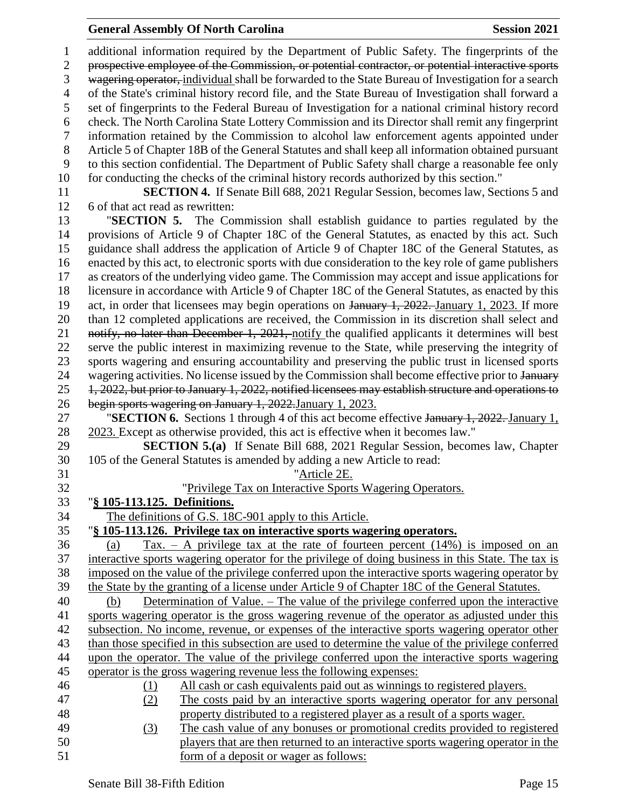#### **General Assembly Of North Carolina Session 2021**

 additional information required by the Department of Public Safety. The fingerprints of the prospective employee of the Commission, or potential contractor, or potential interactive sports 3 wagering operator, individual shall be forwarded to the State Bureau of Investigation for a search of the State's criminal history record file, and the State Bureau of Investigation shall forward a set of fingerprints to the Federal Bureau of Investigation for a national criminal history record check. The North Carolina State Lottery Commission and its Director shall remit any fingerprint information retained by the Commission to alcohol law enforcement agents appointed under Article 5 of Chapter 18B of the General Statutes and shall keep all information obtained pursuant to this section confidential. The Department of Public Safety shall charge a reasonable fee only for conducting the checks of the criminal history records authorized by this section." **SECTION 4.** If Senate Bill 688, 2021 Regular Session, becomes law, Sections 5 and 6 of that act read as rewritten: "**SECTION 5.** The Commission shall establish guidance to parties regulated by the provisions of Article 9 of Chapter 18C of the General Statutes, as enacted by this act. Such guidance shall address the application of Article 9 of Chapter 18C of the General Statutes, as enacted by this act, to electronic sports with due consideration to the key role of game publishers as creators of the underlying video game. The Commission may accept and issue applications for licensure in accordance with Article 9 of Chapter 18C of the General Statutes, as enacted by this 19 act, in order that licensees may begin operations on January 1, 2022. January 1, 2023. If more than 12 completed applications are received, the Commission in its discretion shall select and 21 notify, no later than December 1, 2021, notify the qualified applicants it determines will best serve the public interest in maximizing revenue to the State, while preserving the integrity of sports wagering and ensuring accountability and preserving the public trust in licensed sports 24 wagering activities. No license issued by the Commission shall become effective prior to January 1, 2022, but prior to January 1, 2022, notified licensees may establish structure and operations to begin sports wagering on January 1, 2022.January 1, 2023. "**SECTION 6.** Sections 1 through 4 of this act become effective January 1, 2022. January 1, 2023. Except as otherwise provided, this act is effective when it becomes law." **SECTION 5.(a)** If Senate Bill 688, 2021 Regular Session, becomes law, Chapter 105 of the General Statutes is amended by adding a new Article to read: "Article 2E. "Privilege Tax on Interactive Sports Wagering Operators. "**§ 105-113.125. Definitions.** The definitions of G.S. 18C-901 apply to this Article. "**§ 105-113.126. Privilege tax on interactive sports wagering operators.** (a) Tax. – A privilege tax at the rate of fourteen percent (14%) is imposed on an interactive sports wagering operator for the privilege of doing business in this State. The tax is imposed on the value of the privilege conferred upon the interactive sports wagering operator by the State by the granting of a license under Article 9 of Chapter 18C of the General Statutes. (b) Determination of Value. – The value of the privilege conferred upon the interactive sports wagering operator is the gross wagering revenue of the operator as adjusted under this subsection. No income, revenue, or expenses of the interactive sports wagering operator other than those specified in this subsection are used to determine the value of the privilege conferred upon the operator. The value of the privilege conferred upon the interactive sports wagering operator is the gross wagering revenue less the following expenses: (1) All cash or cash equivalents paid out as winnings to registered players. (2) The costs paid by an interactive sports wagering operator for any personal property distributed to a registered player as a result of a sports wager. (3) The cash value of any bonuses or promotional credits provided to registered players that are then returned to an interactive sports wagering operator in the form of a deposit or wager as follows: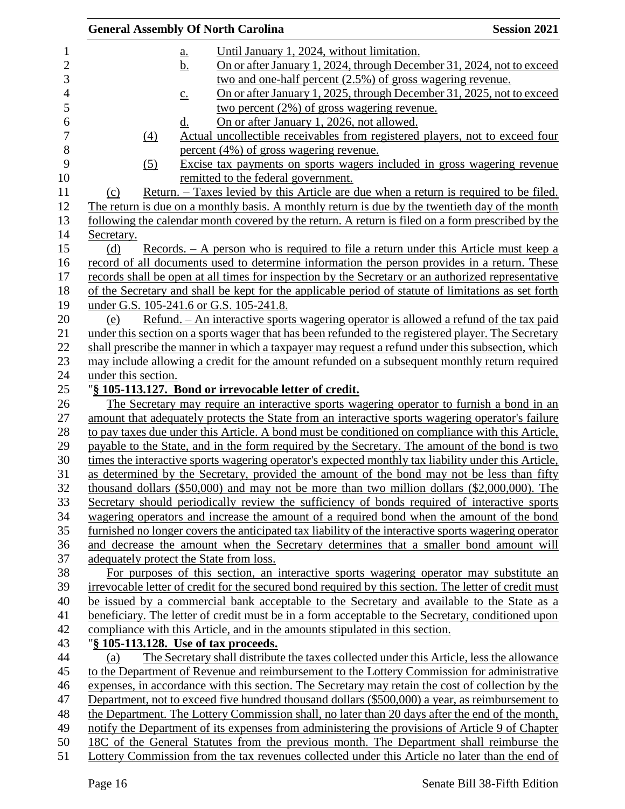|                     | <b>General Assembly Of North Carolina</b>                                                                               | <b>Session 2021</b> |
|---------------------|-------------------------------------------------------------------------------------------------------------------------|---------------------|
|                     | Until January 1, 2024, without limitation.<br><u>a.</u>                                                                 |                     |
|                     | On or after January 1, 2024, through December 31, 2024, not to exceed<br><u>b.</u>                                      |                     |
|                     | two and one-half percent (2.5%) of gross wagering revenue.                                                              |                     |
|                     | On or after January 1, 2025, through December 31, 2025, not to exceed                                                   |                     |
|                     | $\underline{c}$ .<br>two percent $(2\%)$ of gross wagering revenue.                                                     |                     |
|                     | On or after January 1, 2026, not allowed.<br>d.                                                                         |                     |
|                     |                                                                                                                         |                     |
| $\underline{(4)}$   | Actual uncollectible receivables from registered players, not to exceed four<br>percent (4%) of gross wagering revenue. |                     |
|                     |                                                                                                                         |                     |
| (5)                 | Excise tax payments on sports wagers included in gross wagering revenue                                                 |                     |
|                     | remitted to the federal government.                                                                                     |                     |
| (c)                 | <u>Return. – Taxes levied by this Article are due when a return is required to be filed.</u>                            |                     |
|                     | The return is due on a monthly basis. A monthly return is due by the twentieth day of the month                         |                     |
|                     | following the calendar month covered by the return. A return is filed on a form prescribed by the                       |                     |
| Secretary.          |                                                                                                                         |                     |
| (d)                 | Records. – A person who is required to file a return under this Article must keep a                                     |                     |
|                     | record of all documents used to determine information the person provides in a return. These                            |                     |
|                     | records shall be open at all times for inspection by the Secretary or an authorized representative                      |                     |
|                     | of the Secretary and shall be kept for the applicable period of statute of limitations as set forth                     |                     |
|                     | under G.S. 105-241.6 or G.S. 105-241.8.                                                                                 |                     |
| (e)                 | <u>Refund. – An interactive sports wagering operator is allowed a refund of the tax paid</u>                            |                     |
|                     | under this section on a sports wager that has been refunded to the registered player. The Secretary                     |                     |
|                     | shall prescribe the manner in which a taxpayer may request a refund under this subsection, which                        |                     |
|                     | may include allowing a credit for the amount refunded on a subsequent monthly return required                           |                     |
| under this section. |                                                                                                                         |                     |
|                     | "§ 105-113.127. Bond or irrevocable letter of credit.                                                                   |                     |
|                     | The Secretary may require an interactive sports wagering operator to furnish a bond in an                               |                     |
|                     | amount that adequately protects the State from an interactive sports wagering operator's failure                        |                     |
|                     | to pay taxes due under this Article. A bond must be conditioned on compliance with this Article,                        |                     |
|                     | payable to the State, and in the form required by the Secretary. The amount of the bond is two                          |                     |
|                     | times the interactive sports wagering operator's expected monthly tax liability under this Article,                     |                     |
|                     | as determined by the Secretary, provided the amount of the bond may not be less than fifty                              |                     |
|                     | thousand dollars $(\$50,000)$ and may not be more than two million dollars $(\$2,000,000)$ . The                        |                     |
|                     | Secretary should periodically review the sufficiency of bonds required of interactive sports                            |                     |
|                     | wagering operators and increase the amount of a required bond when the amount of the bond                               |                     |
|                     | furnished no longer covers the anticipated tax liability of the interactive sports wagering operator                    |                     |
|                     | and decrease the amount when the Secretary determines that a smaller bond amount will                                   |                     |
|                     | adequately protect the State from loss.                                                                                 |                     |
|                     | For purposes of this section, an interactive sports wagering operator may substitute an                                 |                     |
|                     | irrevocable letter of credit for the secured bond required by this section. The letter of credit must                   |                     |
|                     | be issued by a commercial bank acceptable to the Secretary and available to the State as a                              |                     |
|                     | beneficiary. The letter of credit must be in a form acceptable to the Secretary, conditioned upon                       |                     |
|                     | compliance with this Article, and in the amounts stipulated in this section.                                            |                     |
|                     | "§ 105-113.128. Use of tax proceeds.                                                                                    |                     |
| (a)                 | The Secretary shall distribute the taxes collected under this Article, less the allowance                               |                     |
|                     | to the Department of Revenue and reimbursement to the Lottery Commission for administrative                             |                     |
|                     | expenses, in accordance with this section. The Secretary may retain the cost of collection by the                       |                     |
|                     | Department, not to exceed five hundred thousand dollars (\$500,000) a year, as reimbursement to                         |                     |
|                     | the Department. The Lottery Commission shall, no later than 20 days after the end of the month,                         |                     |
|                     | notify the Department of its expenses from administering the provisions of Article 9 of Chapter                         |                     |
|                     | 18C of the General Statutes from the previous month. The Department shall reimburse the                                 |                     |
|                     | Lottery Commission from the tax revenues collected under this Article no later than the end of                          |                     |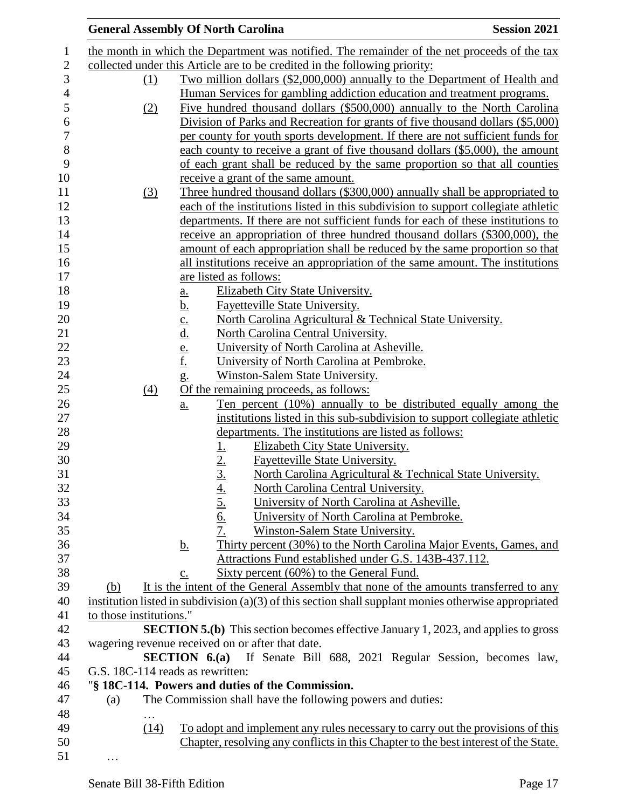|                         | <b>General Assembly Of North Carolina</b>                                                                            | <b>Session 2021</b> |
|-------------------------|----------------------------------------------------------------------------------------------------------------------|---------------------|
|                         | the month in which the Department was notified. The remainder of the net proceeds of the tax                         |                     |
|                         | collected under this Article are to be credited in the following priority:                                           |                     |
| (1)                     | Two million dollars (\$2,000,000) annually to the Department of Health and                                           |                     |
|                         | Human Services for gambling addiction education and treatment programs.                                              |                     |
| (2)                     | Five hundred thousand dollars (\$500,000) annually to the North Carolina                                             |                     |
|                         | Division of Parks and Recreation for grants of five thousand dollars (\$5,000)                                       |                     |
|                         | per county for youth sports development. If there are not sufficient funds for                                       |                     |
|                         | each county to receive a grant of five thousand dollars (\$5,000), the amount                                        |                     |
|                         | of each grant shall be reduced by the same proportion so that all counties                                           |                     |
|                         | receive a grant of the same amount.                                                                                  |                     |
| (3)                     | Three hundred thousand dollars (\$300,000) annually shall be appropriated to                                         |                     |
|                         | each of the institutions listed in this subdivision to support collegiate athletic                                   |                     |
|                         | departments. If there are not sufficient funds for each of these institutions to                                     |                     |
|                         | receive an appropriation of three hundred thousand dollars (\$300,000), the                                          |                     |
|                         |                                                                                                                      |                     |
|                         | amount of each appropriation shall be reduced by the same proportion so that                                         |                     |
|                         | all institutions receive an appropriation of the same amount. The institutions                                       |                     |
|                         | are listed as follows:                                                                                               |                     |
|                         | Elizabeth City State University.<br><u>a.</u>                                                                        |                     |
|                         | <b>Fayetteville State University.</b><br><u>b.</u>                                                                   |                     |
|                         | North Carolina Agricultural & Technical State University.                                                            |                     |
|                         | $rac{\underline{c}}{\underline{d}}$ .<br>$rac{\underline{e}}{\underline{f}}$ .<br>North Carolina Central University. |                     |
|                         | University of North Carolina at Asheville.                                                                           |                     |
|                         | University of North Carolina at Pembroke.                                                                            |                     |
|                         | Winston-Salem State University.<br>$g_{\cdot}$                                                                       |                     |
| (4)                     | Of the remaining proceeds, as follows:                                                                               |                     |
|                         | Ten percent (10%) annually to be distributed equally among the<br><u>a.</u>                                          |                     |
|                         | institutions listed in this sub-subdivision to support collegiate athletic                                           |                     |
|                         | departments. The institutions are listed as follows:                                                                 |                     |
|                         | Elizabeth City State University.                                                                                     |                     |
|                         | $\frac{1}{2}$ .<br>3.<br><b>Fayetteville State University.</b>                                                       |                     |
|                         | North Carolina Agricultural & Technical State University.                                                            |                     |
|                         | North Carolina Central University.                                                                                   |                     |
|                         | $rac{4.5}{5.6}$<br>$rac{6.7}{7.}$<br>University of North Carolina at Asheville.                                      |                     |
|                         | University of North Carolina at Pembroke.                                                                            |                     |
|                         | Winston-Salem State University.                                                                                      |                     |
|                         | Thirty percent (30%) to the North Carolina Major Events, Games, and<br><u>b.</u>                                     |                     |
|                         | Attractions Fund established under G.S. 143B-437.112.                                                                |                     |
|                         | Sixty percent (60%) to the General Fund.<br>c.                                                                       |                     |
| (b)                     | It is the intent of the General Assembly that none of the amounts transferred to any                                 |                     |
|                         | institution listed in subdivision (a)(3) of this section shall supplant monies otherwise appropriated                |                     |
| to those institutions." |                                                                                                                      |                     |
|                         | <b>SECTION 5.(b)</b> This section becomes effective January 1, 2023, and applies to gross                            |                     |
|                         | wagering revenue received on or after that date.                                                                     |                     |
|                         | <b>SECTION 6.(a)</b> If Senate Bill 688, 2021 Regular Session, becomes law,                                          |                     |
|                         | G.S. 18C-114 reads as rewritten:                                                                                     |                     |
|                         | "§ 18C-114. Powers and duties of the Commission.                                                                     |                     |
| (a)                     | The Commission shall have the following powers and duties:                                                           |                     |
|                         |                                                                                                                      |                     |
| (14)                    | To adopt and implement any rules necessary to carry out the provisions of this                                       |                     |
|                         | Chapter, resolving any conflicts in this Chapter to the best interest of the State.                                  |                     |
| $\cdots$                |                                                                                                                      |                     |